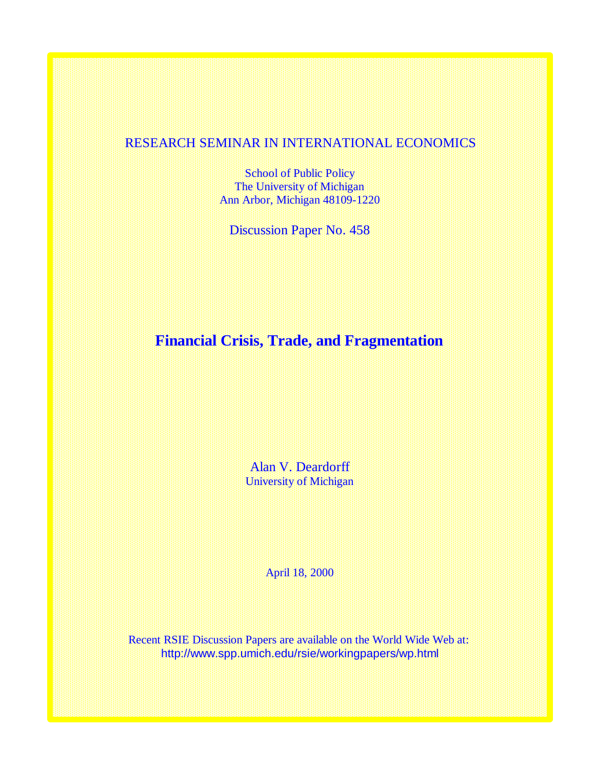# RESEARCH SEMINAR IN INTERNATIONAL ECONOMICS

School of Public Policy The University of Michigan Ann Arbor, Michigan 48109-1220

Discussion Paper No. 458

# **Financial Crisis, Trade, and Fragmentation**

Alan V. Deardorff University of Michigan

April 18, 2000

Recent RSIE Discussion Papers are available on the World Wide Web at: http://www.spp.umich.edu/rsie/workingpapers/wp.html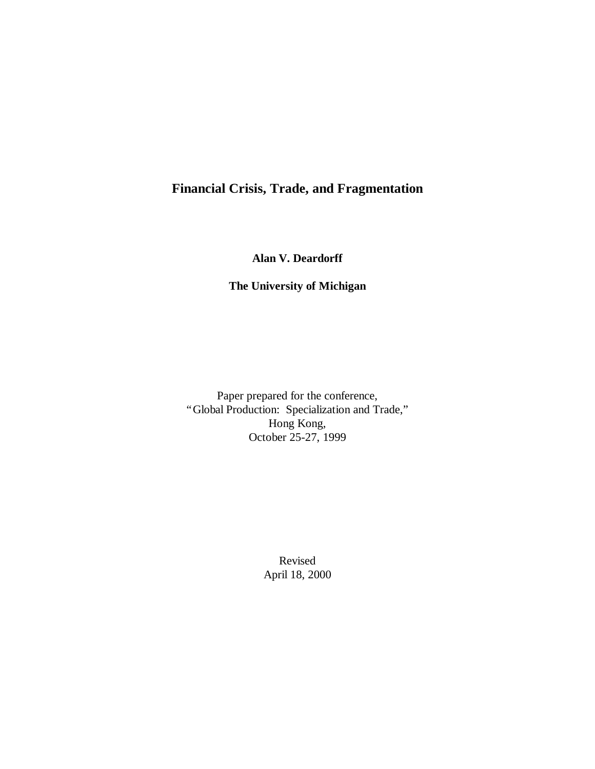# **Financial Crisis, Trade, and Fragmentation**

**Alan V. Deardorff**

**The University of Michigan**

Paper prepared for the conference, "Global Production: Specialization and Trade," Hong Kong, October 25-27, 1999

> Revised April 18, 2000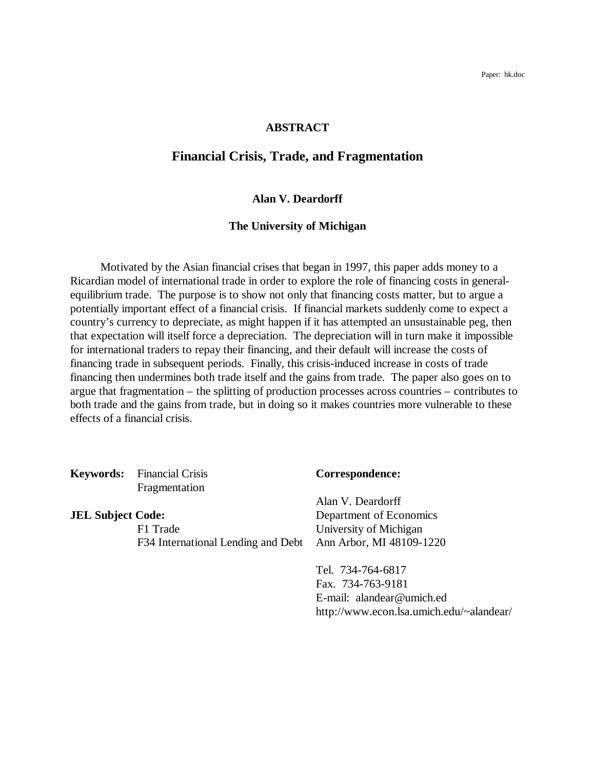### **ABSTRACT**

## **Financial Crisis, Trade, and Fragmentation**

## **Alan V. Deardorff**

#### **The University of Michigan**

Motivated by the Asian financial crises that began in 1997, this paper adds money to a Ricardian model of international trade in order to explore the role of financing costs in generalequilibrium trade. The purpose is to show not only that financing costs matter, but to argue a potentially important effect of a financial crisis. If financial markets suddenly come to expect a country's currency to depreciate, as might happen if it has attempted an unsustainable peg, then that expectation will itself force a depreciation. The depreciation will in turn make it impossible for international traders to repay their financing, and their default will increase the costs of financing trade in subsequent periods. Finally, this crisis-induced increase in costs of trade financing then undermines both trade itself and the gains from trade. The paper also goes on to argue that fragmentation – the splitting of production processes across countries – contributes to both trade and the gains from trade, but in doing so it makes countries more vulnerable to these effects of a financial crisis.

|                          | <b>Keywords:</b> Financial Crisis<br>Fragmentation | Correspondence:           |
|--------------------------|----------------------------------------------------|---------------------------|
|                          |                                                    | Alan V. Deardorff         |
| <b>JEL Subject Code:</b> |                                                    | Department of Economics   |
|                          | F1 Trade                                           | University of Michigan    |
|                          | F34 International Lending and Debt                 | Ann Arbor, MI 48109-1220  |
|                          |                                                    | Tel. 734-764-6817         |
|                          |                                                    | Fax. 734-763-9181         |
|                          |                                                    | E-mail: alandear@umich.ed |

http://www.econ.lsa.umich.edu/~alandear/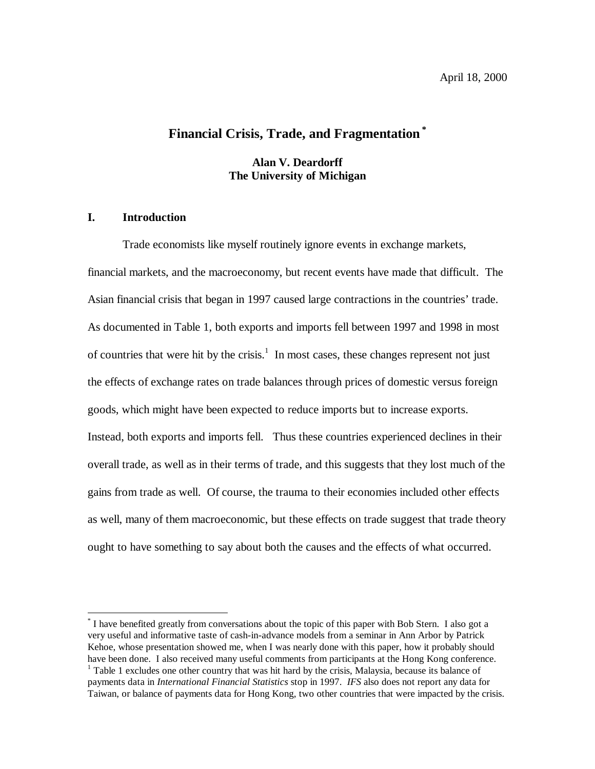## **Financial Crisis, Trade, and Fragmentation \***

## **Alan V. Deardorff The University of Michigan**

### **I. Introduction**

-

Trade economists like myself routinely ignore events in exchange markets, financial markets, and the macroeconomy, but recent events have made that difficult. The Asian financial crisis that began in 1997 caused large contractions in the countries' trade. As documented in Table 1, both exports and imports fell between 1997 and 1998 in most of countries that were hit by the crisis. $<sup>1</sup>$  In most cases, these changes represent not just</sup> the effects of exchange rates on trade balances through prices of domestic versus foreign goods, which might have been expected to reduce imports but to increase exports. Instead, both exports and imports fell. Thus these countries experienced declines in their overall trade, as well as in their terms of trade, and this suggests that they lost much of the gains from trade as well. Of course, the trauma to their economies included other effects as well, many of them macroeconomic, but these effects on trade suggest that trade theory ought to have something to say about both the causes and the effects of what occurred.

<sup>\*</sup> I have benefited greatly from conversations about the topic of this paper with Bob Stern. I also got a very useful and informative taste of cash-in-advance models from a seminar in Ann Arbor by Patrick Kehoe, whose presentation showed me, when I was nearly done with this paper, how it probably should have been done. I also received many useful comments from participants at the Hong Kong conference.

<sup>&</sup>lt;sup>1</sup> Table 1 excludes one other country that was hit hard by the crisis, Malaysia, because its balance of payments data in *International Financial Statistics* stop in 1997. *IFS* also does not report any data for Taiwan, or balance of payments data for Hong Kong, two other countries that were impacted by the crisis.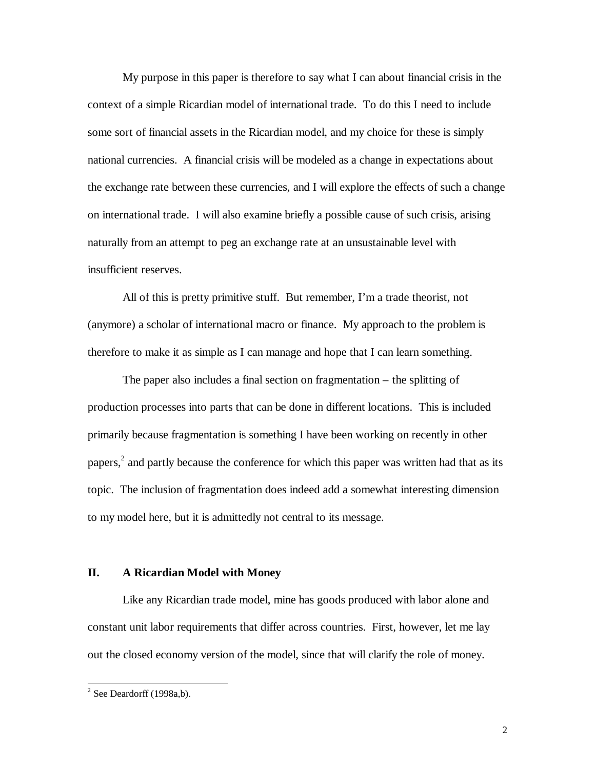My purpose in this paper is therefore to say what I can about financial crisis in the context of a simple Ricardian model of international trade. To do this I need to include some sort of financial assets in the Ricardian model, and my choice for these is simply national currencies. A financial crisis will be modeled as a change in expectations about the exchange rate between these currencies, and I will explore the effects of such a change on international trade. I will also examine briefly a possible cause of such crisis, arising naturally from an attempt to peg an exchange rate at an unsustainable level with insufficient reserves.

All of this is pretty primitive stuff. But remember, I'm a trade theorist, not (anymore) a scholar of international macro or finance. My approach to the problem is therefore to make it as simple as I can manage and hope that I can learn something.

The paper also includes a final section on fragmentation – the splitting of production processes into parts that can be done in different locations. This is included primarily because fragmentation is something I have been working on recently in other papers,<sup>2</sup> and partly because the conference for which this paper was written had that as its topic. The inclusion of fragmentation does indeed add a somewhat interesting dimension to my model here, but it is admittedly not central to its message.

## **II. A Ricardian Model with Money**

Like any Ricardian trade model, mine has goods produced with labor alone and constant unit labor requirements that differ across countries. First, however, let me lay out the closed economy version of the model, since that will clarify the role of money.

-

 $2$  See Deardorff (1998a,b).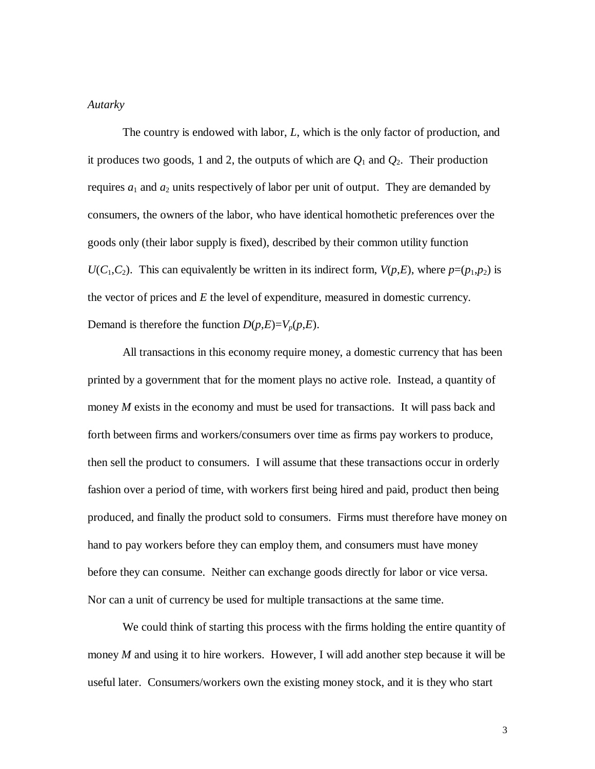#### *Autarky*

The country is endowed with labor, *L*, which is the only factor of production, and it produces two goods, 1 and 2, the outputs of which are  $Q_1$  and  $Q_2$ . Their production requires  $a_1$  and  $a_2$  units respectively of labor per unit of output. They are demanded by consumers, the owners of the labor, who have identical homothetic preferences over the goods only (their labor supply is fixed), described by their common utility function  $U(C_1, C_2)$ . This can equivalently be written in its indirect form,  $V(p,E)$ , where  $p=(p_1, p_2)$  is the vector of prices and *E* the level of expenditure, measured in domestic currency. Demand is therefore the function  $D(p,E)=V_p(p,E)$ .

All transactions in this economy require money, a domestic currency that has been printed by a government that for the moment plays no active role. Instead, a quantity of money *M* exists in the economy and must be used for transactions. It will pass back and forth between firms and workers/consumers over time as firms pay workers to produce, then sell the product to consumers. I will assume that these transactions occur in orderly fashion over a period of time, with workers first being hired and paid, product then being produced, and finally the product sold to consumers. Firms must therefore have money on hand to pay workers before they can employ them, and consumers must have money before they can consume. Neither can exchange goods directly for labor or vice versa. Nor can a unit of currency be used for multiple transactions at the same time.

We could think of starting this process with the firms holding the entire quantity of money *M* and using it to hire workers. However, I will add another step because it will be useful later. Consumers/workers own the existing money stock, and it is they who start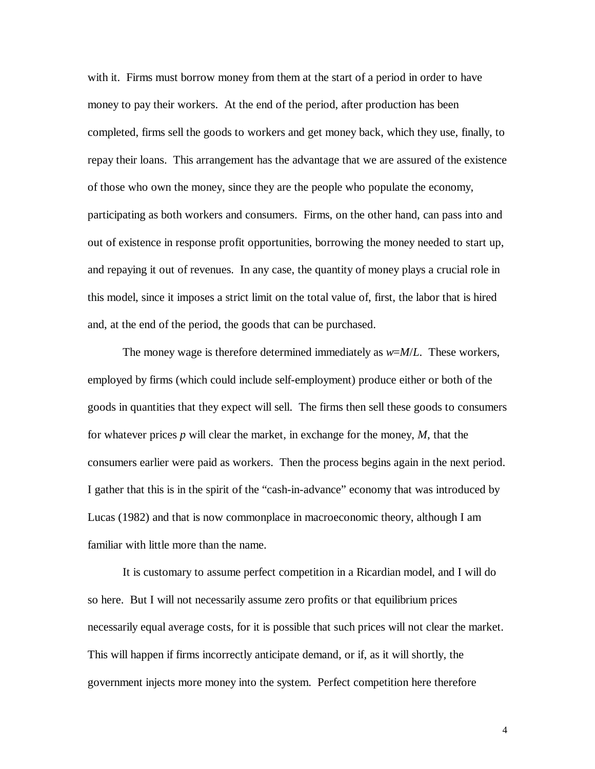with it. Firms must borrow money from them at the start of a period in order to have money to pay their workers. At the end of the period, after production has been completed, firms sell the goods to workers and get money back, which they use, finally, to repay their loans. This arrangement has the advantage that we are assured of the existence of those who own the money, since they are the people who populate the economy, participating as both workers and consumers. Firms, on the other hand, can pass into and out of existence in response profit opportunities, borrowing the money needed to start up, and repaying it out of revenues. In any case, the quantity of money plays a crucial role in this model, since it imposes a strict limit on the total value of, first, the labor that is hired and, at the end of the period, the goods that can be purchased.

The money wage is therefore determined immediately as *w*=*M*/*L*. These workers, employed by firms (which could include self-employment) produce either or both of the goods in quantities that they expect will sell. The firms then sell these goods to consumers for whatever prices *p* will clear the market, in exchange for the money, *M*, that the consumers earlier were paid as workers. Then the process begins again in the next period. I gather that this is in the spirit of the "cash-in-advance" economy that was introduced by Lucas (1982) and that is now commonplace in macroeconomic theory, although I am familiar with little more than the name.

It is customary to assume perfect competition in a Ricardian model, and I will do so here. But I will not necessarily assume zero profits or that equilibrium prices necessarily equal average costs, for it is possible that such prices will not clear the market. This will happen if firms incorrectly anticipate demand, or if, as it will shortly, the government injects more money into the system. Perfect competition here therefore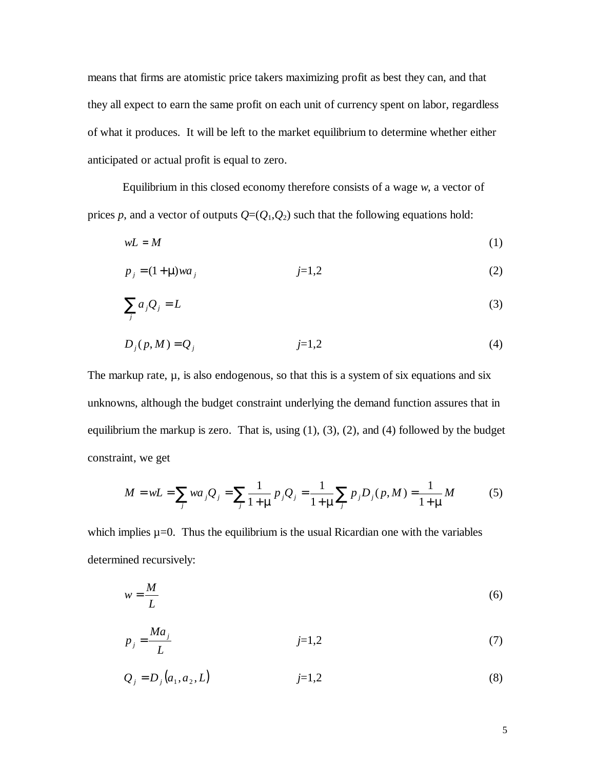means that firms are atomistic price takers maximizing profit as best they can, and that they all expect to earn the same profit on each unit of currency spent on labor, regardless of what it produces. It will be left to the market equilibrium to determine whether either anticipated or actual profit is equal to zero.

Equilibrium in this closed economy therefore consists of a wage *w*, a vector of prices *p*, and a vector of outputs  $Q=(Q_1,Q_2)$  such that the following equations hold:

$$
wL = M \tag{1}
$$

$$
p_j = (1 + \mu)wa_j \qquad j = 1,2 \tag{2}
$$

$$
\sum_{j} a_j Q_j = L \tag{3}
$$

$$
D_j(p, M) = Q_j \qquad j=1,2 \tag{4}
$$

The markup rate,  $\mu$ , is also endogenous, so that this is a system of six equations and six unknowns, although the budget constraint underlying the demand function assures that in equilibrium the markup is zero. That is, using  $(1)$ ,  $(3)$ ,  $(2)$ , and  $(4)$  followed by the budget constraint, we get

$$
M = wL = \sum_{j} w a_{j} Q_{j} = \sum_{j} \frac{1}{1 + \mu} p_{j} Q_{j} = \frac{1}{1 + \mu} \sum_{j} p_{j} D_{j}(p, M) = \frac{1}{1 + \mu} M
$$
(5)

which implies  $\mu$ =0. Thus the equilibrium is the usual Ricardian one with the variables determined recursively:

$$
w = \frac{M}{L} \tag{6}
$$

$$
p_j = \frac{Ma_j}{L} \qquad j=1,2 \tag{7}
$$

$$
Q_j = D_j(a_1, a_2, L) \t j=1,2 \t (8)
$$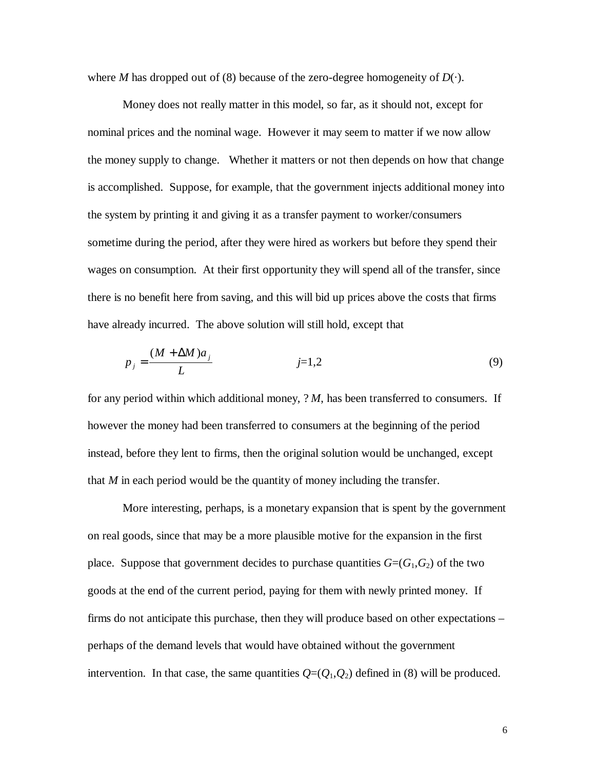where *M* has dropped out of (8) because of the zero-degree homogeneity of  $D(\cdot)$ .

Money does not really matter in this model, so far, as it should not, except for nominal prices and the nominal wage. However it may seem to matter if we now allow the money supply to change. Whether it matters or not then depends on how that change is accomplished. Suppose, for example, that the government injects additional money into the system by printing it and giving it as a transfer payment to worker/consumers sometime during the period, after they were hired as workers but before they spend their wages on consumption. At their first opportunity they will spend all of the transfer, since there is no benefit here from saving, and this will bid up prices above the costs that firms have already incurred. The above solution will still hold, except that

$$
p_j = \frac{(M + \Delta M)a_j}{L} \qquad j=1,2
$$
\n(9)

for any period within which additional money, ? *M*, has been transferred to consumers. If however the money had been transferred to consumers at the beginning of the period instead, before they lent to firms, then the original solution would be unchanged, except that *M* in each period would be the quantity of money including the transfer.

More interesting, perhaps, is a monetary expansion that is spent by the government on real goods, since that may be a more plausible motive for the expansion in the first place. Suppose that government decides to purchase quantities  $G=(G_1,G_2)$  of the two goods at the end of the current period, paying for them with newly printed money. If firms do not anticipate this purchase, then they will produce based on other expectations – perhaps of the demand levels that would have obtained without the government intervention. In that case, the same quantities  $Q=(Q_1,Q_2)$  defined in (8) will be produced.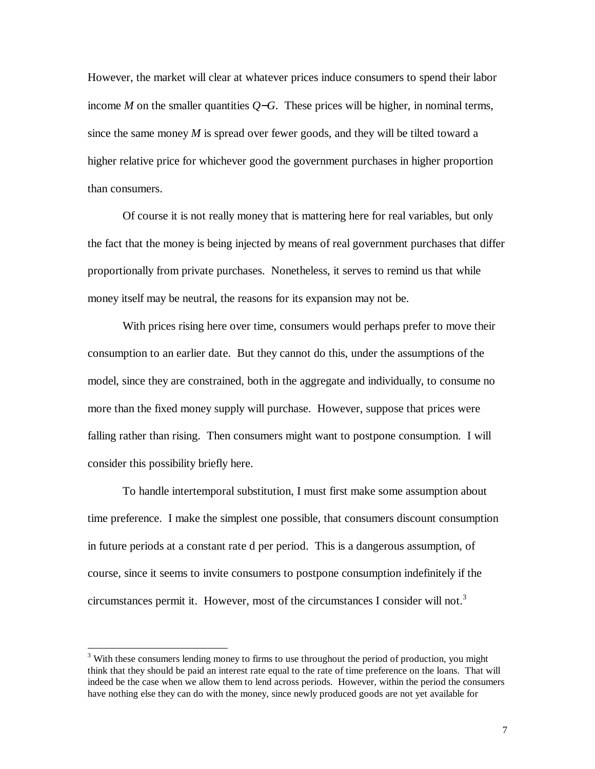However, the market will clear at whatever prices induce consumers to spend their labor income  $M$  on the smaller quantities  $Q$ - $G$ . These prices will be higher, in nominal terms, since the same money *M* is spread over fewer goods, and they will be tilted toward a higher relative price for whichever good the government purchases in higher proportion than consumers.

Of course it is not really money that is mattering here for real variables, but only the fact that the money is being injected by means of real government purchases that differ proportionally from private purchases. Nonetheless, it serves to remind us that while money itself may be neutral, the reasons for its expansion may not be.

With prices rising here over time, consumers would perhaps prefer to move their consumption to an earlier date. But they cannot do this, under the assumptions of the model, since they are constrained, both in the aggregate and individually, to consume no more than the fixed money supply will purchase. However, suppose that prices were falling rather than rising. Then consumers might want to postpone consumption. I will consider this possibility briefly here.

To handle intertemporal substitution, I must first make some assumption about time preference. I make the simplest one possible, that consumers discount consumption in future periods at a constant rate d per period. This is a dangerous assumption, of course, since it seems to invite consumers to postpone consumption indefinitely if the circumstances permit it. However, most of the circumstances I consider will not.<sup>3</sup>

-

 $3$  With these consumers lending money to firms to use throughout the period of production, you might think that they should be paid an interest rate equal to the rate of time preference on the loans. That will indeed be the case when we allow them to lend across periods. However, within the period the consumers have nothing else they can do with the money, since newly produced goods are not yet available for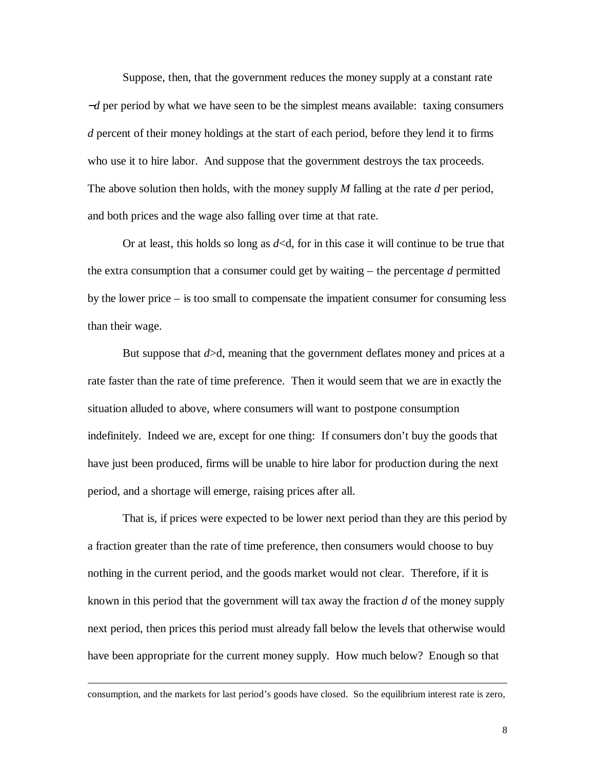Suppose, then, that the government reduces the money supply at a constant rate − *d* per period by what we have seen to be the simplest means available: taxing consumers *d* percent of their money holdings at the start of each period, before they lend it to firms who use it to hire labor. And suppose that the government destroys the tax proceeds. The above solution then holds, with the money supply *M* falling at the rate *d* per period, and both prices and the wage also falling over time at that rate.

Or at least, this holds so long as *d*<d, for in this case it will continue to be true that the extra consumption that a consumer could get by waiting – the percentage *d* permitted by the lower price – is too small to compensate the impatient consumer for consuming less than their wage.

But suppose that *d*>d, meaning that the government deflates money and prices at a rate faster than the rate of time preference.Then it would seem that we are in exactly the situation alluded to above, where consumers will want to postpone consumption indefinitely. Indeed we are, except for one thing: If consumers don't buy the goods that have just been produced, firms will be unable to hire labor for production during the next period, and a shortage will emerge, raising prices after all.

That is, if prices were expected to be lower next period than they are this period by a fraction greater than the rate of time preference, then consumers would choose to buy nothing in the current period, and the goods market would not clear. Therefore, if it is known in this period that the government will tax away the fraction *d* of the money supply next period, then prices this period must already fall below the levels that otherwise would have been appropriate for the current money supply. How much below? Enough so that

-

consumption, and the markets for last period's goods have closed. So the equilibrium interest rate is zero,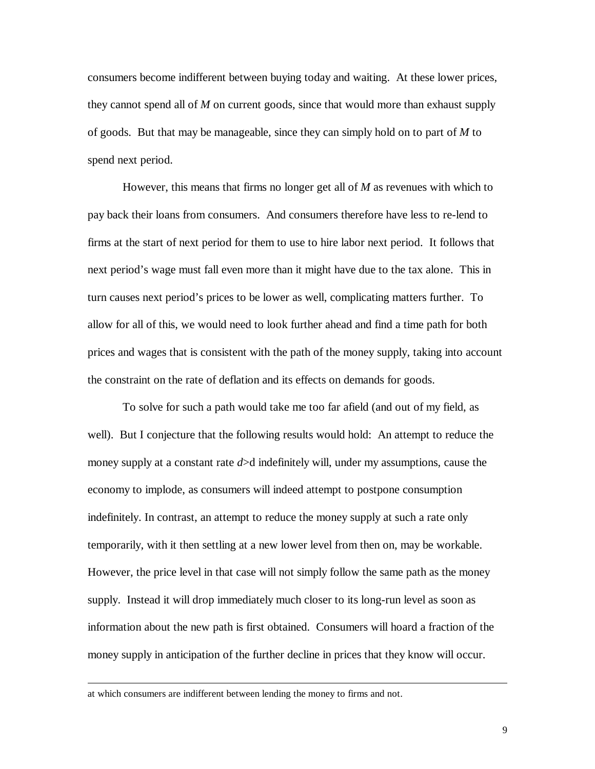consumers become indifferent between buying today and waiting. At these lower prices, they cannot spend all of *M* on current goods, since that would more than exhaust supply of goods. But that may be manageable, since they can simply hold on to part of *M* to spend next period.

However, this means that firms no longer get all of *M* as revenues with which to pay back their loans from consumers. And consumers therefore have less to re-lend to firms at the start of next period for them to use to hire labor next period. It follows that next period's wage must fall even more than it might have due to the tax alone. This in turn causes next period's prices to be lower as well, complicating matters further. To allow for all of this, we would need to look further ahead and find a time path for both prices and wages that is consistent with the path of the money supply, taking into account the constraint on the rate of deflation and its effects on demands for goods.

To solve for such a path would take me too far afield (and out of my field, as well). But I conjecture that the following results would hold: An attempt to reduce the money supply at a constant rate *d*>d indefinitely will, under my assumptions, cause the economy to implode, as consumers will indeed attempt to postpone consumption indefinitely. In contrast, an attempt to reduce the money supply at such a rate only temporarily, with it then settling at a new lower level from then on, may be workable. However, the price level in that case will not simply follow the same path as the money supply. Instead it will drop immediately much closer to its long-run level as soon as information about the new path is first obtained. Consumers will hoard a fraction of the money supply in anticipation of the further decline in prices that they know will occur.

-

at which consumers are indifferent between lending the money to firms and not.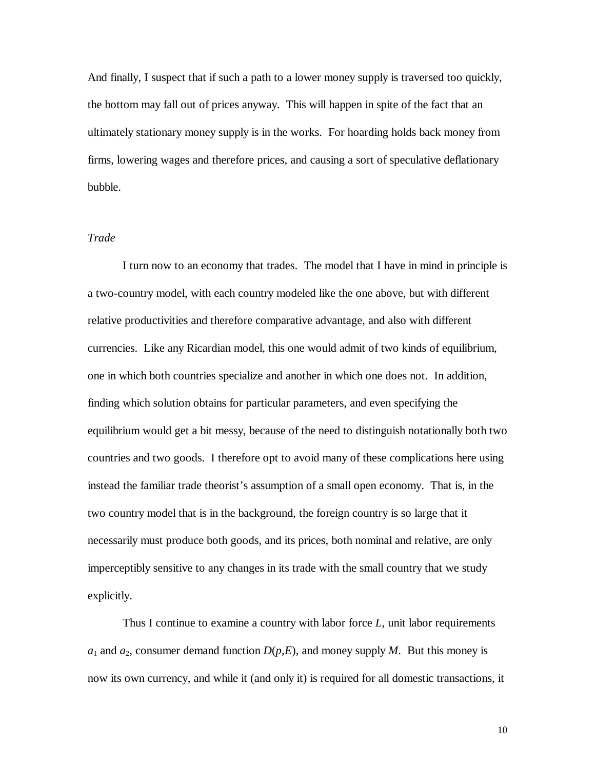And finally, I suspect that if such a path to a lower money supply is traversed too quickly, the bottom may fall out of prices anyway. This will happen in spite of the fact that an ultimately stationary money supply is in the works. For hoarding holds back money from firms, lowering wages and therefore prices, and causing a sort of speculative deflationary bubble.

### *Trade*

I turn now to an economy that trades. The model that I have in mind in principle is a two-country model, with each country modeled like the one above, but with different relative productivities and therefore comparative advantage, and also with different currencies. Like any Ricardian model, this one would admit of two kinds of equilibrium, one in which both countries specialize and another in which one does not. In addition, finding which solution obtains for particular parameters, and even specifying the equilibrium would get a bit messy, because of the need to distinguish notationally both two countries and two goods. I therefore opt to avoid many of these complications here using instead the familiar trade theorist's assumption of a small open economy. That is, in the two country model that is in the background, the foreign country is so large that it necessarily must produce both goods, and its prices, both nominal and relative, are only imperceptibly sensitive to any changes in its trade with the small country that we study explicitly.

Thus I continue to examine a country with labor force *L*, unit labor requirements  $a_1$  and  $a_2$ , consumer demand function  $D(p,E)$ , and money supply *M*. But this money is now its own currency, and while it (and only it) is required for all domestic transactions, it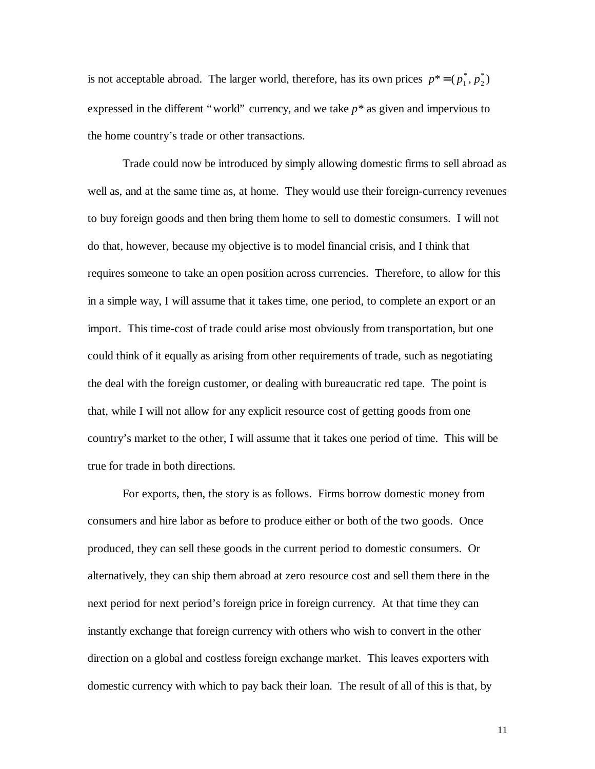is not acceptable abroad. The larger world, therefore, has its own prices  $p^* = (p_1^*, p_2^*)$ 2 \*  $p^* = (p_1^*, p_2^*)$ expressed in the different "world" currency, and we take *p\** as given and impervious to the home country's trade or other transactions.

Trade could now be introduced by simply allowing domestic firms to sell abroad as well as, and at the same time as, at home. They would use their foreign-currency revenues to buy foreign goods and then bring them home to sell to domestic consumers. I will not do that, however, because my objective is to model financial crisis, and I think that requires someone to take an open position across currencies. Therefore, to allow for this in a simple way, I will assume that it takes time, one period, to complete an export or an import. This time-cost of trade could arise most obviously from transportation, but one could think of it equally as arising from other requirements of trade, such as negotiating the deal with the foreign customer, or dealing with bureaucratic red tape. The point is that, while I will not allow for any explicit resource cost of getting goods from one country's market to the other, I will assume that it takes one period of time. This will be true for trade in both directions.

For exports, then, the story is as follows. Firms borrow domestic money from consumers and hire labor as before to produce either or both of the two goods. Once produced, they can sell these goods in the current period to domestic consumers. Or alternatively, they can ship them abroad at zero resource cost and sell them there in the next period for next period's foreign price in foreign currency. At that time they can instantly exchange that foreign currency with others who wish to convert in the other direction on a global and costless foreign exchange market. This leaves exporters with domestic currency with which to pay back their loan. The result of all of this is that, by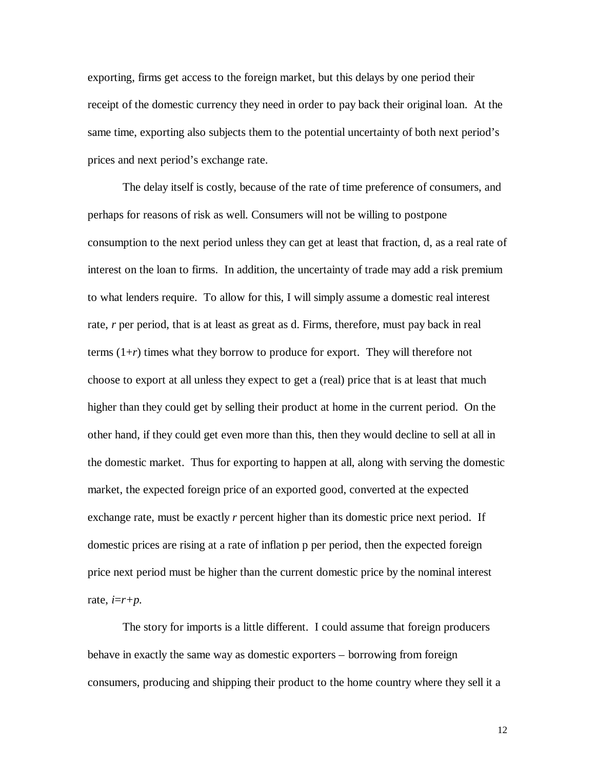exporting, firms get access to the foreign market, but this delays by one period their receipt of the domestic currency they need in order to pay back their original loan. At the same time, exporting also subjects them to the potential uncertainty of both next period's prices and next period's exchange rate.

The delay itself is costly, because of the rate of time preference of consumers, and perhaps for reasons of risk as well. Consumers will not be willing to postpone consumption to the next period unless they can get at least that fraction, d, as a real rate of interest on the loan to firms. In addition, the uncertainty of trade may add a risk premium to what lenders require. To allow for this, I will simply assume a domestic real interest rate, *r* per period, that is at least as great as d. Firms, therefore, must pay back in real terms (1+*r*) times what they borrow to produce for export. They will therefore not choose to export at all unless they expect to get a (real) price that is at least that much higher than they could get by selling their product at home in the current period. On the other hand, if they could get even more than this, then they would decline to sell at all in the domestic market. Thus for exporting to happen at all, along with serving the domestic market, the expected foreign price of an exported good, converted at the expected exchange rate, must be exactly *r* percent higher than its domestic price next period. If domestic prices are rising at a rate of inflation p per period, then the expected foreign price next period must be higher than the current domestic price by the nominal interest rate,  $i=r+p$ .

The story for imports is a little different. I could assume that foreign producers behave in exactly the same way as domestic exporters – borrowing from foreign consumers, producing and shipping their product to the home country where they sell it a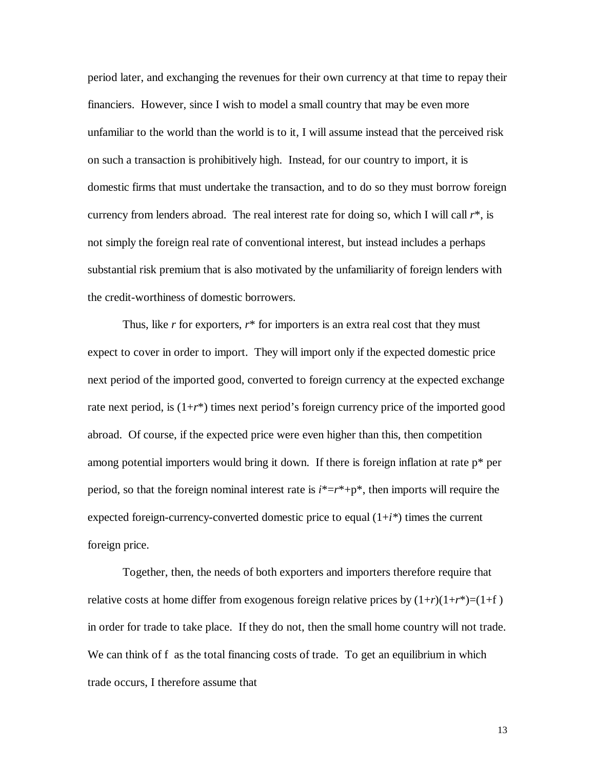period later, and exchanging the revenues for their own currency at that time to repay their financiers. However, since I wish to model a small country that may be even more unfamiliar to the world than the world is to it, I will assume instead that the perceived risk on such a transaction is prohibitively high. Instead, for our country to import, it is domestic firms that must undertake the transaction, and to do so they must borrow foreign currency from lenders abroad. The real interest rate for doing so, which I will call *r*\*, is not simply the foreign real rate of conventional interest, but instead includes a perhaps substantial risk premium that is also motivated by the unfamiliarity of foreign lenders with the credit-worthiness of domestic borrowers.

Thus, like *r* for exporters, *r*\* for importers is an extra real cost that they must expect to cover in order to import. They will import only if the expected domestic price next period of the imported good, converted to foreign currency at the expected exchange rate next period, is (1+*r*\*) times next period's foreign currency price of the imported good abroad. Of course, if the expected price were even higher than this, then competition among potential importers would bring it down. If there is foreign inflation at rate p\* per period, so that the foreign nominal interest rate is *i*\*=*r*\*+p\*, then imports will require the expected foreign-currency-converted domestic price to equal (1+*i\**) times the current foreign price.

Together, then, the needs of both exporters and importers therefore require that relative costs at home differ from exogenous foreign relative prices by  $(1+r)(1+r^*)=(1+f)$ in order for trade to take place. If they do not, then the small home country will not trade. We can think of f as the total financing costs of trade. To get an equilibrium in which trade occurs, I therefore assume that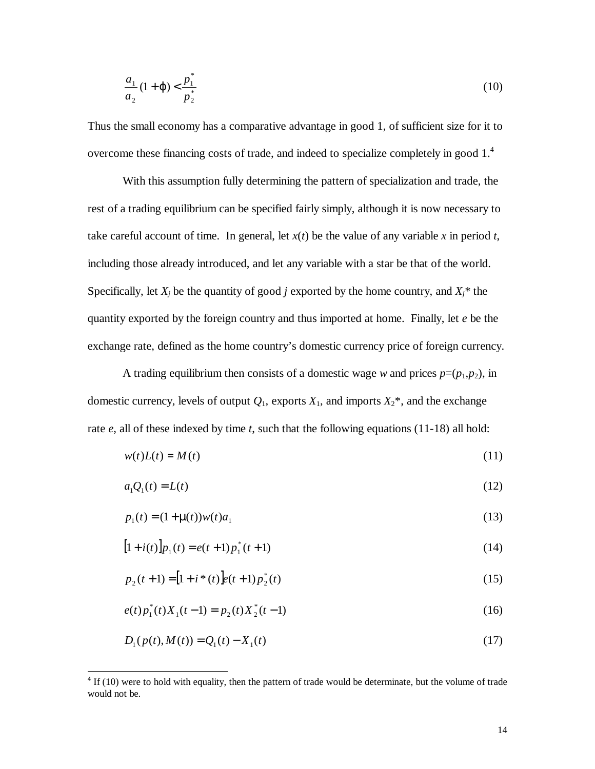$$
\frac{a_1}{a_2}(1+\varphi) < \frac{p_1^*}{p_2^*} \tag{10}
$$

Thus the small economy has a comparative advantage in good 1, of sufficient size for it to overcome these financing costs of trade, and indeed to specialize completely in good 1.<sup>4</sup>

With this assumption fully determining the pattern of specialization and trade, the rest of a trading equilibrium can be specified fairly simply, although it is now necessary to take careful account of time. In general, let  $x(t)$  be the value of any variable x in period t, including those already introduced, and let any variable with a star be that of the world. Specifically, let  $X_i$  be the quantity of good *j* exported by the home country, and  $X_i^*$  the quantity exported by the foreign country and thus imported at home. Finally, let *e* be the exchange rate, defined as the home country's domestic currency price of foreign currency.

A trading equilibrium then consists of a domestic wage *w* and prices  $p=(p_1,p_2)$ , in domestic currency, levels of output  $Q_1$ , exports  $X_1$ , and imports  $X_2^*$ , and the exchange rate *e*, all of these indexed by time *t*, such that the following equations (11-18) all hold:

$$
w(t)L(t) = M(t) \tag{11}
$$

$$
a_1 Q_1(t) = L(t) \tag{12}
$$

$$
p_1(t) = (1 + \mu(t))w(t)a_1
$$
\n(13)

$$
[1 + i(t)]p_1(t) = e(t+1)p_1^*(t+1)
$$
\n(14)

$$
p_2(t+1) = [1 + i * (t)]e(t+1)p_2^*(t)
$$
\n(15)

$$
e(t)p_1^*(t)X_1(t-1) = p_2(t)X_2^*(t-1)
$$
\n(16)

$$
D_1(p(t), M(t)) = Q_1(t) - X_1(t)
$$
\n(17)

-

 $4$  If (10) were to hold with equality, then the pattern of trade would be determinate, but the volume of trade would not be.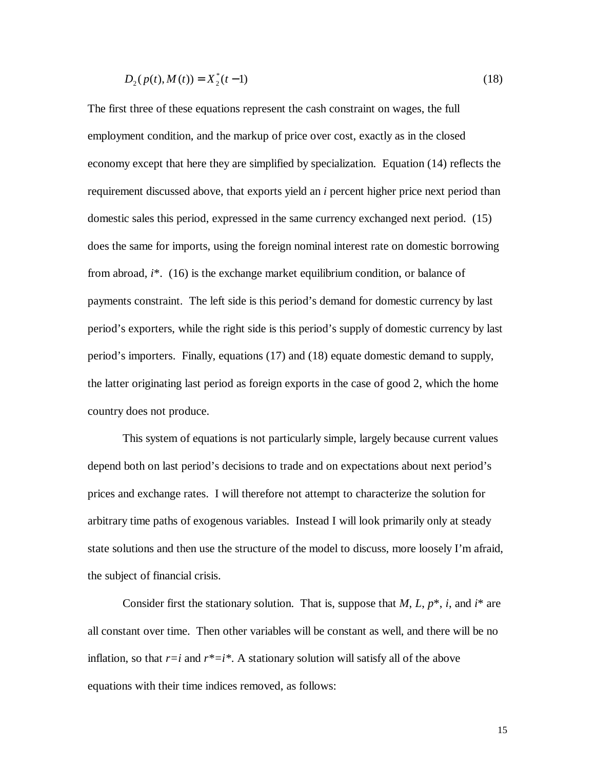$$
D_2(p(t), M(t)) = X_2^*(t-1)
$$
\n(18)

The first three of these equations represent the cash constraint on wages, the full employment condition, and the markup of price over cost, exactly as in the closed economy except that here they are simplified by specialization. Equation (14) reflects the requirement discussed above, that exports yield an *i* percent higher price next period than domestic sales this period, expressed in the same currency exchanged next period. (15) does the same for imports, using the foreign nominal interest rate on domestic borrowing from abroad,  $i^*$ . (16) is the exchange market equilibrium condition, or balance of payments constraint. The left side is this period's demand for domestic currency by last period's exporters, while the right side is this period's supply of domestic currency by last period's importers. Finally, equations (17) and (18) equate domestic demand to supply, the latter originating last period as foreign exports in the case of good 2, which the home country does not produce.

This system of equations is not particularly simple, largely because current values depend both on last period's decisions to trade and on expectations about next period's prices and exchange rates. I will therefore not attempt to characterize the solution for arbitrary time paths of exogenous variables. Instead I will look primarily only at steady state solutions and then use the structure of the model to discuss, more loosely I'm afraid, the subject of financial crisis.

Consider first the stationary solution. That is, suppose that *M*, *L*, *p*\*, *i*, and *i*\* are all constant over time. Then other variables will be constant as well, and there will be no inflation, so that  $r=i$  and  $r^*=i^*$ . A stationary solution will satisfy all of the above equations with their time indices removed, as follows: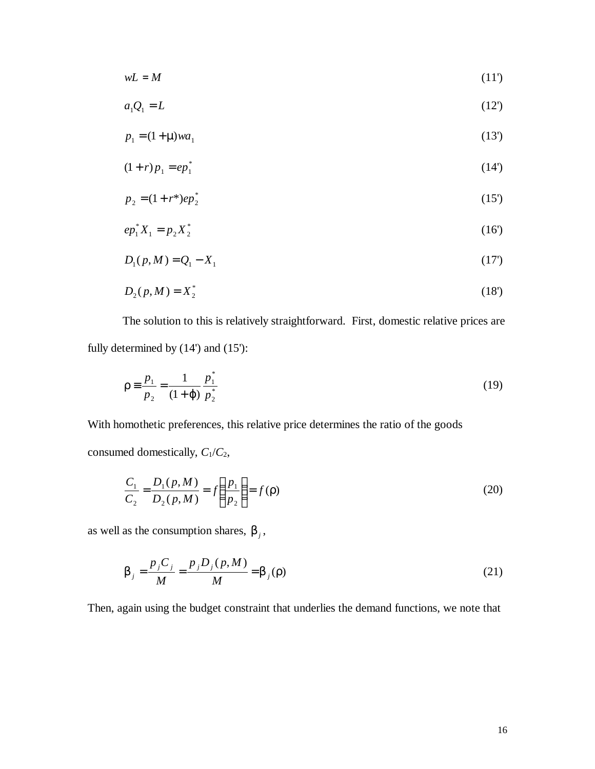$$
wL = M \tag{11'}
$$

$$
a_1 Q_1 = L \tag{12}
$$

$$
p_1 = (1 + \mu)wa_1 \tag{13'}
$$

$$
(1+r)p_1 = ep_1^*
$$
 (14')

$$
p_2 = (1 + r^*)e p_2^* \tag{15'}
$$

$$
ep_1^*X_1 = p_2X_2^* \tag{16'}
$$

$$
D_1(p, M) = Q_1 - X_1 \tag{17}
$$

$$
D_2(p,M) = X_2^*
$$
\n<sup>(18')</sup>

The solution to this is relatively straightforward. First, domestic relative prices are fully determined by (14') and (15'):

$$
\rho = \frac{p_1}{p_2} = \frac{1}{(1+\varphi)} \frac{p_1^*}{p_2^*}
$$
\n(19)

With homothetic preferences, this relative price determines the ratio of the goods consumed domestically, *C*1/*C*2,

$$
\frac{C_1}{C_2} = \frac{D_1(p, M)}{D_2(p, M)} = f\left(\frac{p_1}{p_2}\right) = f(\rho)
$$
\n(20)

as well as the consumption shares,  $\beta_j$ ,

$$
\beta_j = \frac{p_j C_j}{M} = \frac{p_j D_j (p, M)}{M} = \beta_j (\rho)
$$
\n(21)

Then, again using the budget constraint that underlies the demand functions, we note that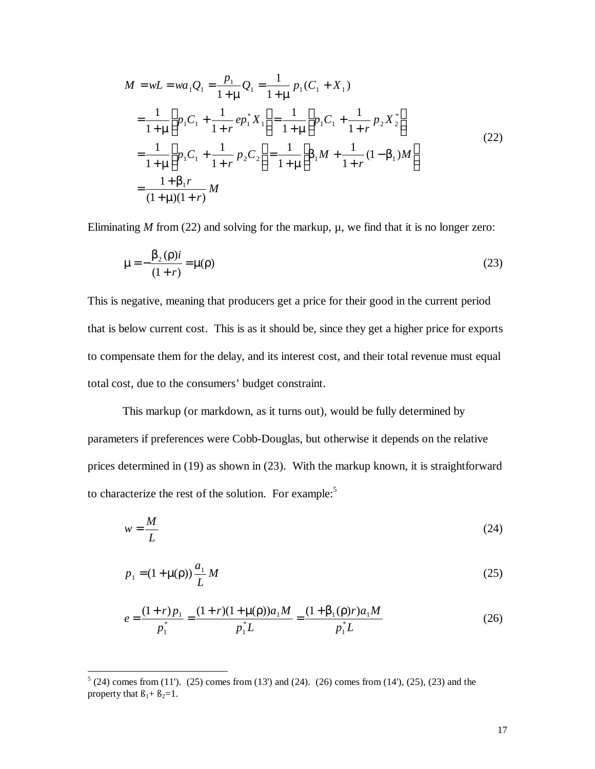$$
M = wL = wa_1Q_1 = \frac{p_1}{1+\mu}Q_1 = \frac{1}{1+\mu}p_1(C_1 + X_1)
$$
  
\n
$$
= \frac{1}{1+\mu} \left[ p_1C_1 + \frac{1}{1+r}ep_1^*X_1 \right] = \frac{1}{1+\mu} \left[ p_1C_1 + \frac{1}{1+r}p_2X_2^* \right]
$$
  
\n
$$
= \frac{1}{1+\mu} \left[ p_1C_1 + \frac{1}{1+r}p_2C_2 \right] = \frac{1}{1+\mu} \left[ \beta_1M + \frac{1}{1+r}(1-\beta_1)M \right]
$$
  
\n
$$
= \frac{1+\beta_1r}{(1+\mu)(1+r)}M
$$
 (22)

Eliminating  $M$  from (22) and solving for the markup,  $\mu$ , we find that it is no longer zero:

$$
\mu = -\frac{\beta_2(\rho)i}{(1+r)} = \mu(\rho) \tag{23}
$$

This is negative, meaning that producers get a price for their good in the current period that is below current cost. This is as it should be, since they get a higher price for exports to compensate them for the delay, and its interest cost, and their total revenue must equal total cost, due to the consumers' budget constraint.

This markup (or markdown, as it turns out), would be fully determined by parameters if preferences were Cobb-Douglas, but otherwise it depends on the relative prices determined in (19) as shown in (23). With the markup known, it is straightforward to characterize the rest of the solution. For example: $5$ 

$$
w = \frac{M}{L} \tag{24}
$$

$$
p_1 = (1 + \mu(\rho)) \frac{a_1}{L} M \tag{25}
$$

$$
e = \frac{(1+r)p_1}{p_1^*} = \frac{(1+r)(1+\mu(\rho))a_1M}{p_1^*L} = \frac{(1+\beta_1(\rho)r)a_1M}{p_1^*L}
$$
(26)

 $\frac{5}{(24) \text{ comes from (11').} (25) \text{ comes from (13')}}$  and (24). (26) comes from (14'), (25), (23) and the property that  $B_1 + B_2 = 1$ .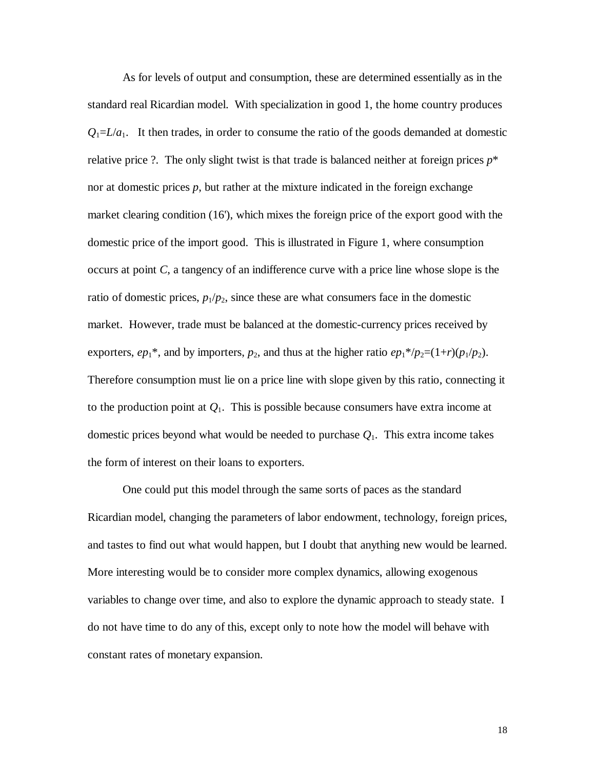As for levels of output and consumption, these are determined essentially as in the standard real Ricardian model. With specialization in good 1, the home country produces  $Q_1 = L/a_1$ . It then trades, in order to consume the ratio of the goods demanded at domestic relative price ?. The only slight twist is that trade is balanced neither at foreign prices *p*\* nor at domestic prices *p*, but rather at the mixture indicated in the foreign exchange market clearing condition (16'), which mixes the foreign price of the export good with the domestic price of the import good. This is illustrated in Figure 1, where consumption occurs at point *C*, a tangency of an indifference curve with a price line whose slope is the ratio of domestic prices,  $p_1/p_2$ , since these are what consumers face in the domestic market. However, trade must be balanced at the domestic-currency prices received by exporters,  $ep_1^*$ , and by importers,  $p_2$ , and thus at the higher ratio  $ep_1^* / p_2 = (1+r)(p_1/p_2)$ . Therefore consumption must lie on a price line with slope given by this ratio, connecting it to the production point at *Q*1. This is possible because consumers have extra income at domestic prices beyond what would be needed to purchase *Q*1. This extra income takes the form of interest on their loans to exporters.

One could put this model through the same sorts of paces as the standard Ricardian model, changing the parameters of labor endowment, technology, foreign prices, and tastes to find out what would happen, but I doubt that anything new would be learned. More interesting would be to consider more complex dynamics, allowing exogenous variables to change over time, and also to explore the dynamic approach to steady state. I do not have time to do any of this, except only to note how the model will behave with constant rates of monetary expansion.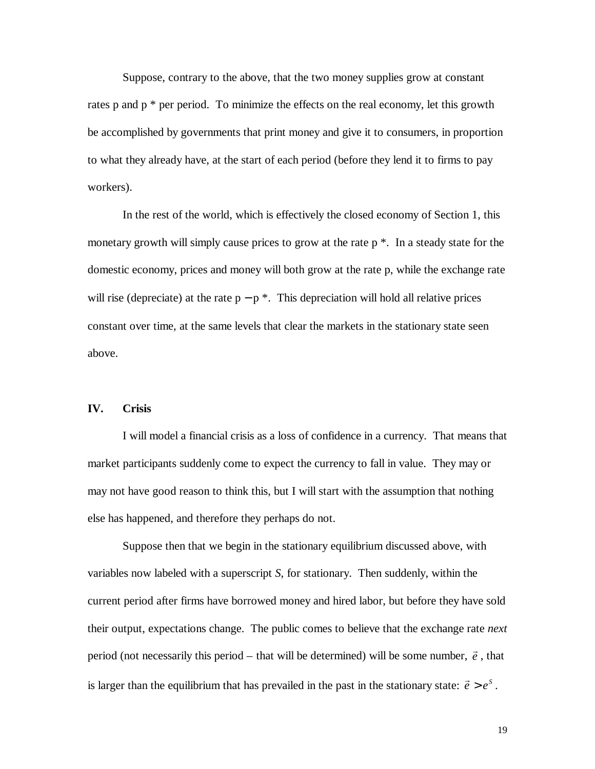Suppose, contrary to the above, that the two money supplies grow at constant rates p and p \* per period. To minimize the effects on the real economy, let this growth be accomplished by governments that print money and give it to consumers, in proportion to what they already have, at the start of each period (before they lend it to firms to pay workers).

In the rest of the world, which is effectively the closed economy of Section 1, this monetary growth will simply cause prices to grow at the rate p \*. In a steady state for the domestic economy, prices and money will both grow at the rate p, while the exchange rate will rise (depreciate) at the rate  $p - p *$ . This depreciation will hold all relative prices constant over time, at the same levels that clear the markets in the stationary state seen above.

#### **IV. Crisis**

I will model a financial crisis as a loss of confidence in a currency. That means that market participants suddenly come to expect the currency to fall in value. They may or may not have good reason to think this, but I will start with the assumption that nothing else has happened, and therefore they perhaps do not.

Suppose then that we begin in the stationary equilibrium discussed above, with variables now labeled with a superscript *S*, for stationary. Then suddenly, within the current period after firms have borrowed money and hired labor, but before they have sold their output, expectations change. The public comes to believe that the exchange rate *next* period (not necessarily this period – that will be determined) will be some number,  $\vec{e}$ , that is larger than the equilibrium that has prevailed in the past in the stationary state:  $\vec{e} > e^s$ .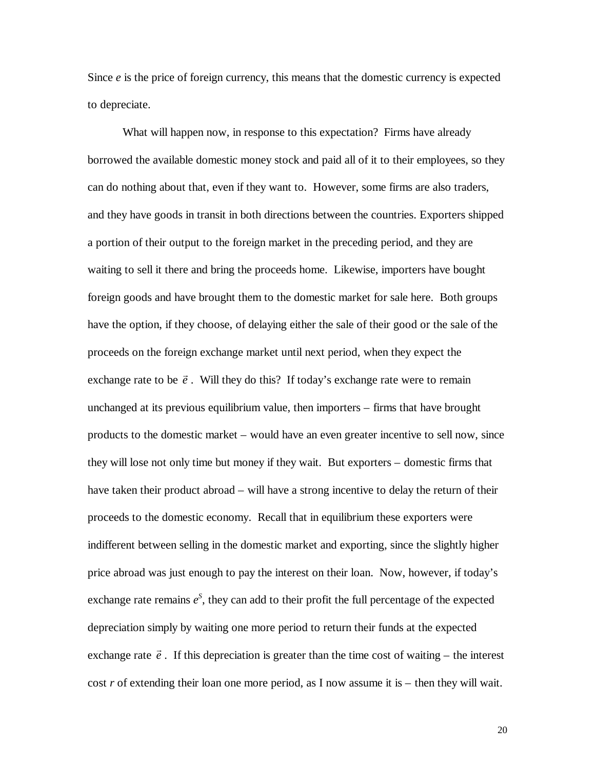Since  $e$  is the price of foreign currency, this means that the domestic currency is expected to depreciate.

What will happen now, in response to this expectation? Firms have already borrowed the available domestic money stock and paid all of it to their employees, so they can do nothing about that, even if they want to. However, some firms are also traders, and they have goods in transit in both directions between the countries. Exporters shipped a portion of their output to the foreign market in the preceding period, and they are waiting to sell it there and bring the proceeds home. Likewise, importers have bought foreign goods and have brought them to the domestic market for sale here. Both groups have the option, if they choose, of delaying either the sale of their good or the sale of the proceeds on the foreign exchange market until next period, when they expect the exchange rate to be  $\vec{e}$ . Will they do this? If today's exchange rate were to remain unchanged at its previous equilibrium value, then importers – firms that have brought products to the domestic market – would have an even greater incentive to sell now, since they will lose not only time but money if they wait. But exporters – domestic firms that have taken their product abroad – will have a strong incentive to delay the return of their proceeds to the domestic economy. Recall that in equilibrium these exporters were indifferent between selling in the domestic market and exporting, since the slightly higher price abroad was just enough to pay the interest on their loan. Now, however, if today's exchange rate remains  $e^s$ , they can add to their profit the full percentage of the expected depreciation simply by waiting one more period to return their funds at the expected exchange rate  $\vec{e}$ . If this depreciation is greater than the time cost of waiting – the interest cost *r* of extending their loan one more period, as I now assume it is – then they will wait.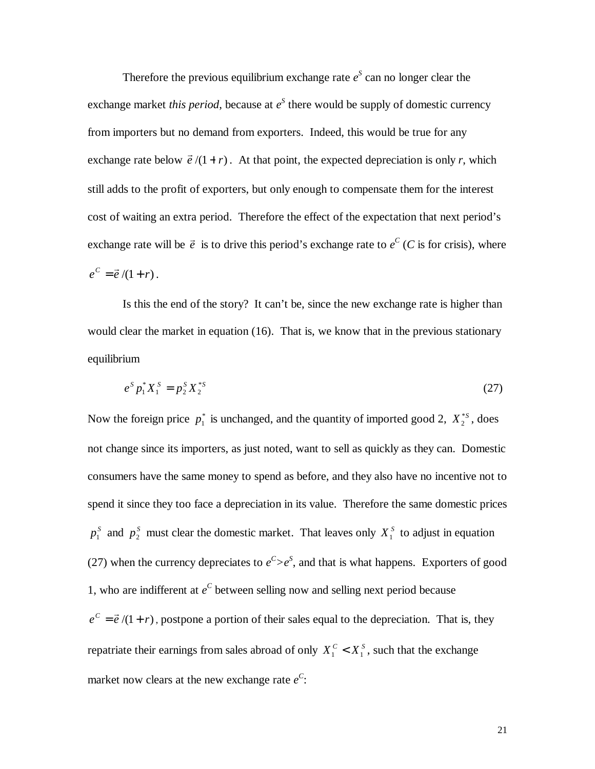Therefore the previous equilibrium exchange rate  $e^S$  can no longer clear the exchange market *this period*, because at  $e^S$  there would be supply of domestic currency from importers but no demand from exporters. Indeed, this would be true for any exchange rate below  $\vec{e}/(1+r)$ . At that point, the expected depreciation is only *r*, which still adds to the profit of exporters, but only enough to compensate them for the interest cost of waiting an extra period. Therefore the effect of the expectation that next period's exchange rate will be  $\vec{e}$  is to drive this period's exchange rate to  $e^C$  (*C* is for crisis), where  $e^{C} = \vec{e}/(1+r)$ .

Is this the end of the story? It can't be, since the new exchange rate is higher than would clear the market in equation (16). That is, we know that in the previous stationary equilibrium

$$
e^S p_1^* X_1^S = p_2^S X_2^{*S} \tag{27}
$$

Now the foreign price  $p_1^*$  is unchanged, and the quantity of imported good 2,  $X_2^{*s}$  $_2^{*s}$ , does not change since its importers, as just noted, want to sell as quickly as they can. Domestic consumers have the same money to spend as before, and they also have no incentive not to spend it since they too face a depreciation in its value. Therefore the same domestic prices  $p_1^S$  and  $p_2^S$  must clear the domestic market. That leaves only  $X_1^S$  to adjust in equation (27) when the currency depreciates to  $e^C > e^S$ , and that is what happens. Exporters of good 1, who are indifferent at  $e^C$  between selling now and selling next period because  $e^{c} = \vec{e}/(1+r)$ , postpone a portion of their sales equal to the depreciation. That is, they repatriate their earnings from sales abroad of only  $X_1^c < X_1^s$ , such that the exchange market now clears at the new exchange rate  $e^C$ :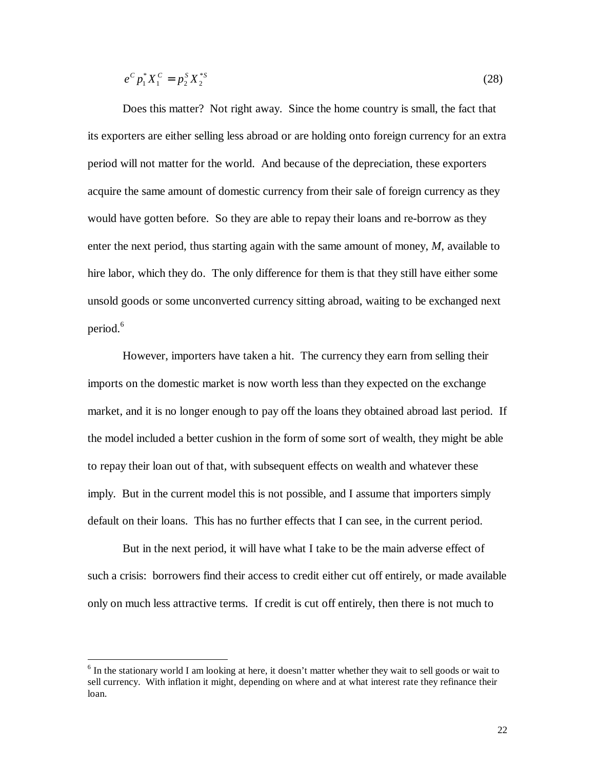$$
e^C p_1^* X_1^C = p_2^S X_2^{*S} \tag{28}
$$

Does this matter? Not right away. Since the home country is small, the fact that its exporters are either selling less abroad or are holding onto foreign currency for an extra period will not matter for the world. And because of the depreciation, these exporters acquire the same amount of domestic currency from their sale of foreign currency as they would have gotten before. So they are able to repay their loans and re-borrow as they enter the next period, thus starting again with the same amount of money, *M*, available to hire labor, which they do. The only difference for them is that they still have either some unsold goods or some unconverted currency sitting abroad, waiting to be exchanged next period.<sup>6</sup>

However, importers have taken a hit. The currency they earn from selling their imports on the domestic market is now worth less than they expected on the exchange market, and it is no longer enough to pay off the loans they obtained abroad last period. If the model included a better cushion in the form of some sort of wealth, they might be able to repay their loan out of that, with subsequent effects on wealth and whatever these imply. But in the current model this is not possible, and I assume that importers simply default on their loans. This has no further effects that I can see, in the current period.

But in the next period, it will have what I take to be the main adverse effect of such a crisis: borrowers find their access to credit either cut off entirely, or made available only on much less attractive terms. If credit is cut off entirely, then there is not much to

-

<sup>&</sup>lt;sup>6</sup> In the stationary world I am looking at here, it doesn't matter whether they wait to sell goods or wait to sell currency. With inflation it might, depending on where and at what interest rate they refinance their loan.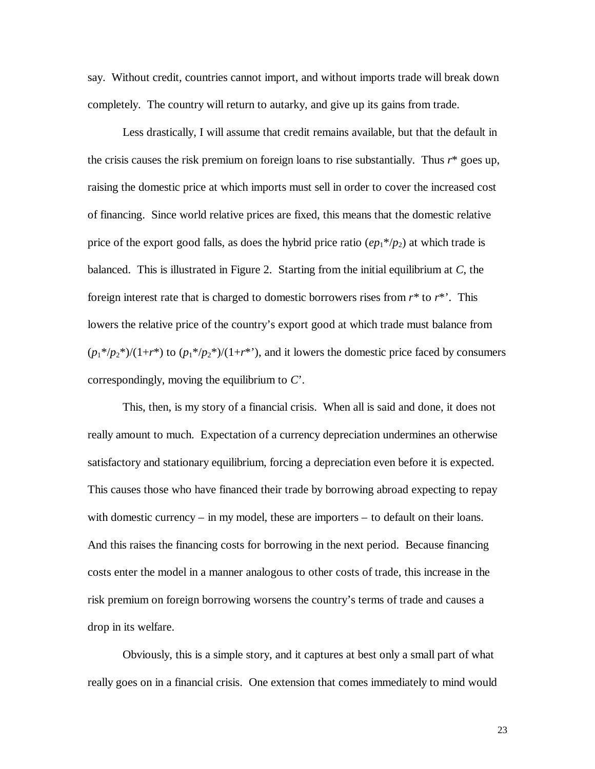say. Without credit, countries cannot import, and without imports trade will break down completely. The country will return to autarky, and give up its gains from trade.

Less drastically, I will assume that credit remains available, but that the default in the crisis causes the risk premium on foreign loans to rise substantially. Thus *r*\* goes up, raising the domestic price at which imports must sell in order to cover the increased cost of financing. Since world relative prices are fixed, this means that the domestic relative price of the export good falls, as does the hybrid price ratio  $(ep_1*/p_2)$  at which trade is balanced. This is illustrated in Figure 2. Starting from the initial equilibrium at *C*, the foreign interest rate that is charged to domestic borrowers rises from *r\** to *r*\*'. This lowers the relative price of the country's export good at which trade must balance from  $(p_1^*/p_2^*)/(1+r^*)$  to  $(p_1^*/p_2^*)/(1+r^*)$ , and it lowers the domestic price faced by consumers correspondingly, moving the equilibrium to *C*'.

This, then, is my story of a financial crisis. When all is said and done, it does not really amount to much. Expectation of a currency depreciation undermines an otherwise satisfactory and stationary equilibrium, forcing a depreciation even before it is expected. This causes those who have financed their trade by borrowing abroad expecting to repay with domestic currency – in my model, these are importers – to default on their loans. And this raises the financing costs for borrowing in the next period. Because financing costs enter the model in a manner analogous to other costs of trade, this increase in the risk premium on foreign borrowing worsens the country's terms of trade and causes a drop in its welfare.

Obviously, this is a simple story, and it captures at best only a small part of what really goes on in a financial crisis. One extension that comes immediately to mind would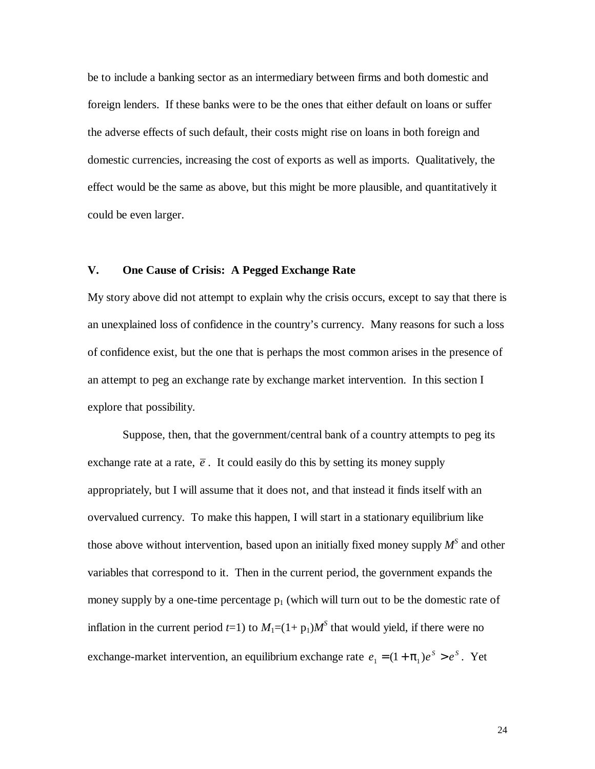be to include a banking sector as an intermediary between firms and both domestic and foreign lenders. If these banks were to be the ones that either default on loans or suffer the adverse effects of such default, their costs might rise on loans in both foreign and domestic currencies, increasing the cost of exports as well as imports. Qualitatively, the effect would be the same as above, but this might be more plausible, and quantitatively it could be even larger.

### **V. One Cause of Crisis: A Pegged Exchange Rate**

My story above did not attempt to explain why the crisis occurs, except to say that there is an unexplained loss of confidence in the country's currency. Many reasons for such a loss of confidence exist, but the one that is perhaps the most common arises in the presence of an attempt to peg an exchange rate by exchange market intervention. In this section I explore that possibility.

Suppose, then, that the government/central bank of a country attempts to peg its exchange rate at a rate,  $\bar{e}$ . It could easily do this by setting its money supply appropriately, but I will assume that it does not, and that instead it finds itself with an overvalued currency. To make this happen, I will start in a stationary equilibrium like those above without intervention, based upon an initially fixed money supply  $M<sup>S</sup>$  and other variables that correspond to it. Then in the current period, the government expands the money supply by a one-time percentage  $p_1$  (which will turn out to be the domestic rate of inflation in the current period  $t=1$ ) to  $M_1=(1+p_1)M^S$  that would yield, if there were no exchange-market intervention, an equilibrium exchange rate  $e_1 = (1 + \pi_1)e^s > e^s$ . Yet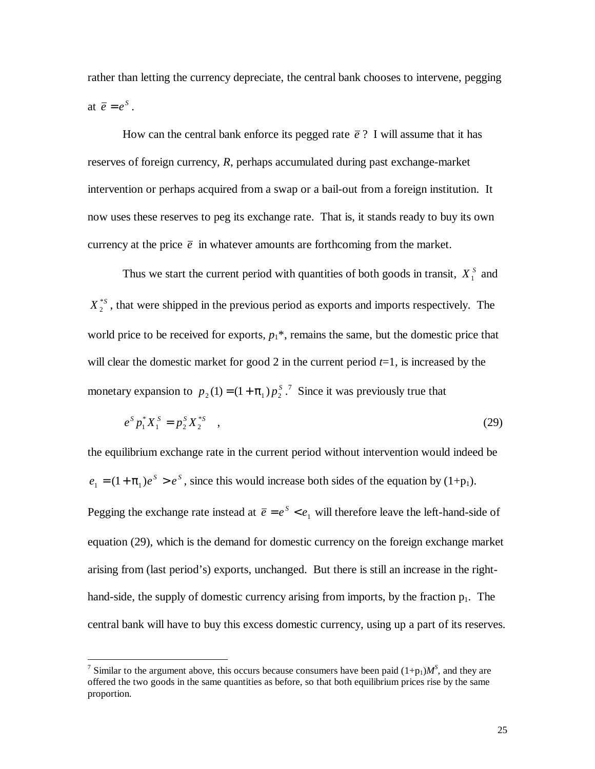rather than letting the currency depreciate, the central bank chooses to intervene, pegging at  $\overline{e} = e^S$ .

How can the central bank enforce its pegged rate  $\bar{e}$ ? I will assume that it has reserves of foreign currency, *R*, perhaps accumulated during past exchange-market intervention or perhaps acquired from a swap or a bail-out from a foreign institution. It now uses these reserves to peg its exchange rate. That is, it stands ready to buy its own currency at the price  $\bar{e}$  in whatever amounts are forthcoming from the market.

Thus we start the current period with quantities of both goods in transit,  $X_1^s$  and  $X^{*S}_{2}$  $2^{*S}$ , that were shipped in the previous period as exports and imports respectively. The world price to be received for exports,  $p_1^*$ , remains the same, but the domestic price that will clear the domestic market for good 2 in the current period  $t=1$ , is increased by the monetary expansion to  $p_2(1) = (1 + \pi_1) p_2^s$ .<sup>7</sup> Since it was previously true that

$$
e^{S} p_{1}^{*} X_{1}^{S} = p_{2}^{S} X_{2}^{*S} \quad , \tag{29}
$$

the equilibrium exchange rate in the current period without intervention would indeed be  $e_1 = (1 + \pi_1)e^s > e^s$ , since this would increase both sides of the equation by (1+p<sub>1</sub>). Pegging the exchange rate instead at  $\bar{e} = e^s < e_1$  will therefore leave the left-hand-side of equation (29), which is the demand for domestic currency on the foreign exchange market arising from (last period's) exports, unchanged. But there is still an increase in the righthand-side, the supply of domestic currency arising from imports, by the fraction  $p_1$ . The central bank will have to buy this excess domestic currency, using up a part of its reserves.

-

<sup>&</sup>lt;sup>7</sup> Similar to the argument above, this occurs because consumers have been paid  $(1+p_1)M^S$ , and they are offered the two goods in the same quantities as before, so that both equilibrium prices rise by the same proportion.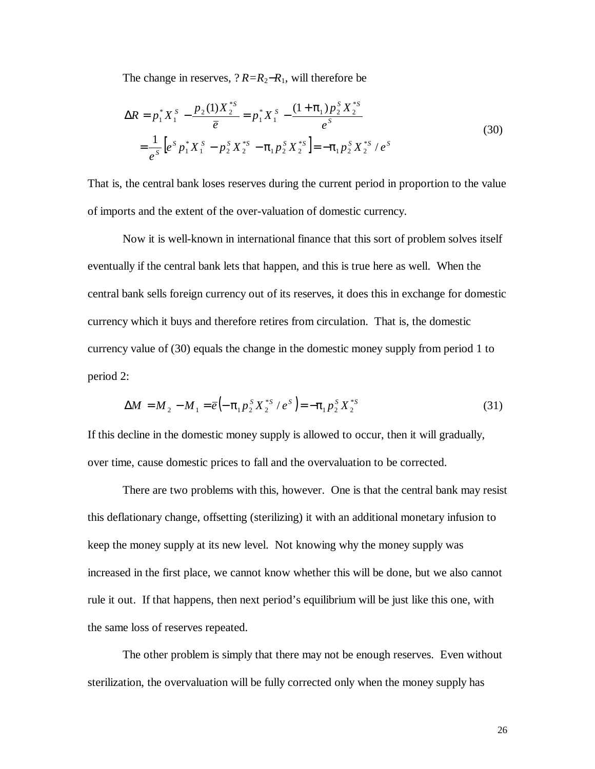The change in reserves,  $? R = R_2 - R_1$ , will therefore be

$$
\Delta R = p_1^* X_1^S - \frac{p_2(1)X_2^{*s}}{\overline{e}} = p_1^* X_1^S - \frac{(1 + \pi_1) p_2^S X_2^{*s}}{e^s}
$$
  

$$
= \frac{1}{e^s} \Big[ e^S p_1^* X_1^S - p_2^S X_2^{*s} - \pi_1 p_2^S X_2^{*s} \Big] = -\pi_1 p_2^S X_2^{*s} / e^s
$$
 (30)

That is, the central bank loses reserves during the current period in proportion to the value of imports and the extent of the over-valuation of domestic currency.

Now it is well-known in international finance that this sort of problem solves itself eventually if the central bank lets that happen, and this is true here as well. When the central bank sells foreign currency out of its reserves, it does this in exchange for domestic currency which it buys and therefore retires from circulation. That is, the domestic currency value of (30) equals the change in the domestic money supply from period 1 to period 2:

$$
\Delta M = M_2 - M_1 = \overline{e} \left( -\pi_1 p_2^S X_2^{*S} / e^S \right) = -\pi_1 p_2^S X_2^{*S}
$$
(31)

If this decline in the domestic money supply is allowed to occur, then it will gradually, over time, cause domestic prices to fall and the overvaluation to be corrected.

There are two problems with this, however. One is that the central bank may resist this deflationary change, offsetting (sterilizing) it with an additional monetary infusion to keep the money supply at its new level. Not knowing why the money supply was increased in the first place, we cannot know whether this will be done, but we also cannot rule it out. If that happens, then next period's equilibrium will be just like this one, with the same loss of reserves repeated.

The other problem is simply that there may not be enough reserves. Even without sterilization, the overvaluation will be fully corrected only when the money supply has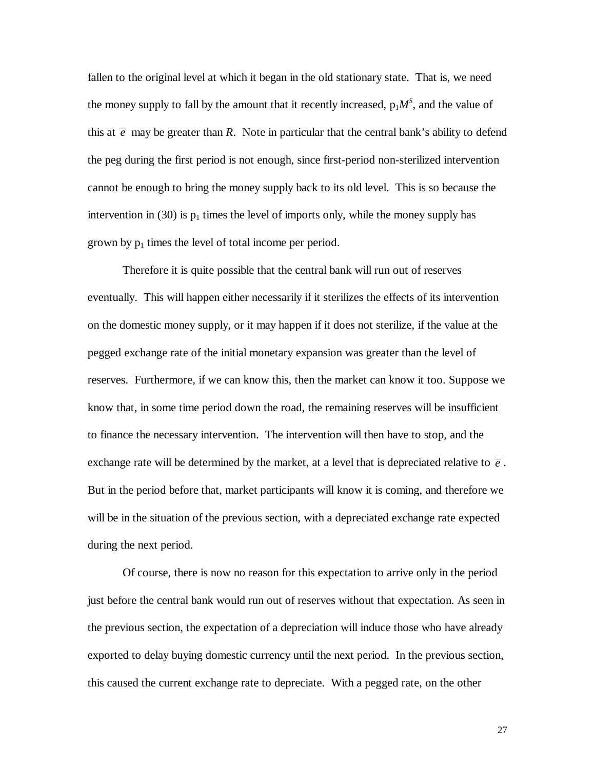fallen to the original level at which it began in the old stationary state. That is, we need the money supply to fall by the amount that it recently increased,  $p_1M^S$ , and the value of this at  $\bar{e}$  may be greater than *R*. Note in particular that the central bank's ability to defend the peg during the first period is not enough, since first-period non-sterilized intervention cannot be enough to bring the money supply back to its old level. This is so because the intervention in (30) is  $p_1$  times the level of imports only, while the money supply has grown by  $p_1$  times the level of total income per period.

Therefore it is quite possible that the central bank will run out of reserves eventually. This will happen either necessarily if it sterilizes the effects of its intervention on the domestic money supply, or it may happen if it does not sterilize, if the value at the pegged exchange rate of the initial monetary expansion was greater than the level of reserves. Furthermore, if we can know this, then the market can know it too. Suppose we know that, in some time period down the road, the remaining reserves will be insufficient to finance the necessary intervention. The intervention will then have to stop, and the exchange rate will be determined by the market, at a level that is depreciated relative to  $\bar{e}$ . But in the period before that, market participants will know it is coming, and therefore we will be in the situation of the previous section, with a depreciated exchange rate expected during the next period.

Of course, there is now no reason for this expectation to arrive only in the period just before the central bank would run out of reserves without that expectation. As seen in the previous section, the expectation of a depreciation will induce those who have already exported to delay buying domestic currency until the next period. In the previous section, this caused the current exchange rate to depreciate. With a pegged rate, on the other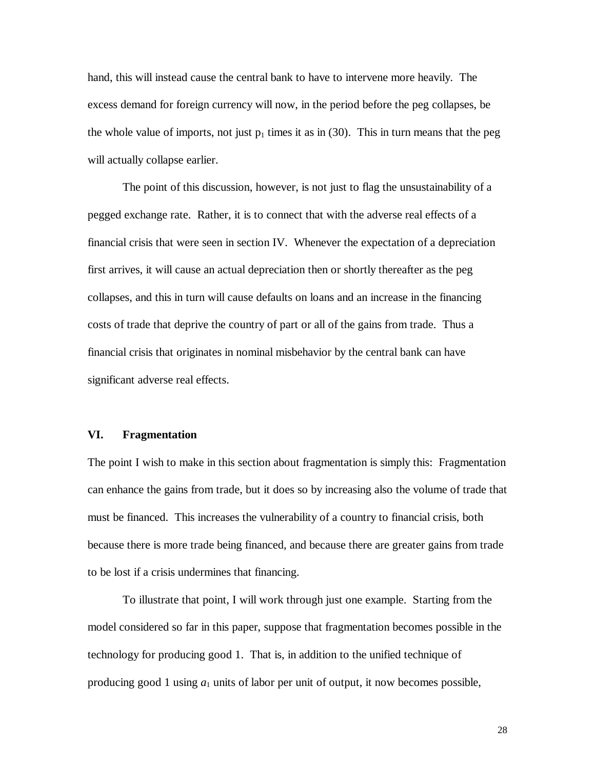hand, this will instead cause the central bank to have to intervene more heavily. The excess demand for foreign currency will now, in the period before the peg collapses, be the whole value of imports, not just  $p_1$  times it as in (30). This in turn means that the peg will actually collapse earlier.

The point of this discussion, however, is not just to flag the unsustainability of a pegged exchange rate. Rather, it is to connect that with the adverse real effects of a financial crisis that were seen in section IV. Whenever the expectation of a depreciation first arrives, it will cause an actual depreciation then or shortly thereafter as the peg collapses, and this in turn will cause defaults on loans and an increase in the financing costs of trade that deprive the country of part or all of the gains from trade. Thus a financial crisis that originates in nominal misbehavior by the central bank can have significant adverse real effects.

## **VI. Fragmentation**

The point I wish to make in this section about fragmentation is simply this: Fragmentation can enhance the gains from trade, but it does so by increasing also the volume of trade that must be financed. This increases the vulnerability of a country to financial crisis, both because there is more trade being financed, and because there are greater gains from trade to be lost if a crisis undermines that financing.

To illustrate that point, I will work through just one example. Starting from the model considered so far in this paper, suppose that fragmentation becomes possible in the technology for producing good 1. That is, in addition to the unified technique of producing good 1 using  $a_1$  units of labor per unit of output, it now becomes possible,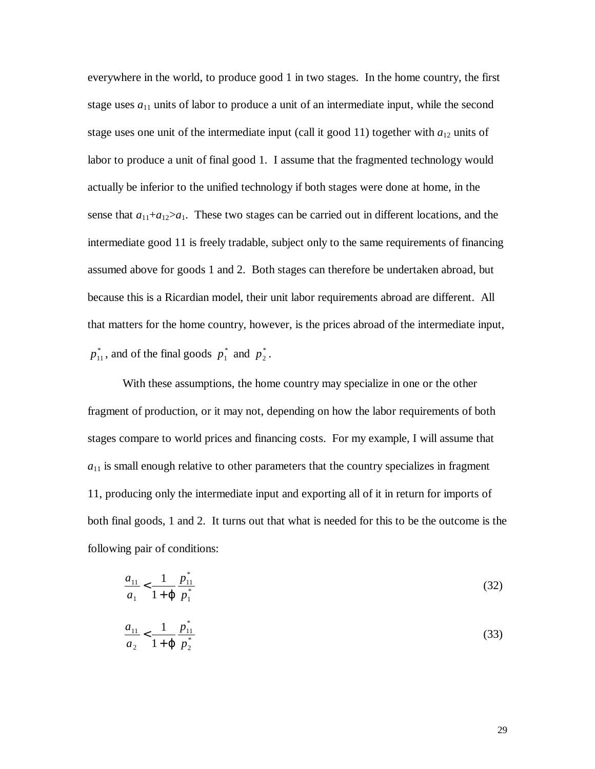everywhere in the world, to produce good 1 in two stages. In the home country, the first stage uses  $a_{11}$  units of labor to produce a unit of an intermediate input, while the second stage uses one unit of the intermediate input (call it good 11) together with  $a_{12}$  units of labor to produce a unit of final good 1. I assume that the fragmented technology would actually be inferior to the unified technology if both stages were done at home, in the sense that  $a_{11}+a_{12}>a_1$ . These two stages can be carried out in different locations, and the intermediate good 11 is freely tradable, subject only to the same requirements of financing assumed above for goods 1 and 2. Both stages can therefore be undertaken abroad, but because this is a Ricardian model, their unit labor requirements abroad are different. All that matters for the home country, however, is the prices abroad of the intermediate input,  $p_{11}^*$ , and of the final goods  $p_1^*$  and  $p_2^*$ .

With these assumptions, the home country may specialize in one or the other fragment of production, or it may not, depending on how the labor requirements of both stages compare to world prices and financing costs. For my example, I will assume that  $a_{11}$  is small enough relative to other parameters that the country specializes in fragment 11, producing only the intermediate input and exporting all of it in return for imports of both final goods, 1 and 2. It turns out that what is needed for this to be the outcome is the following pair of conditions:

$$
\frac{a_{11}}{a_1} < \frac{1}{1 + \varphi} \frac{p_{11}^*}{p_1^*} \tag{32}
$$

$$
\frac{a_{11}}{a_2} < \frac{1}{1 + \varphi} \frac{p_{11}^*}{p_2^*} \tag{33}
$$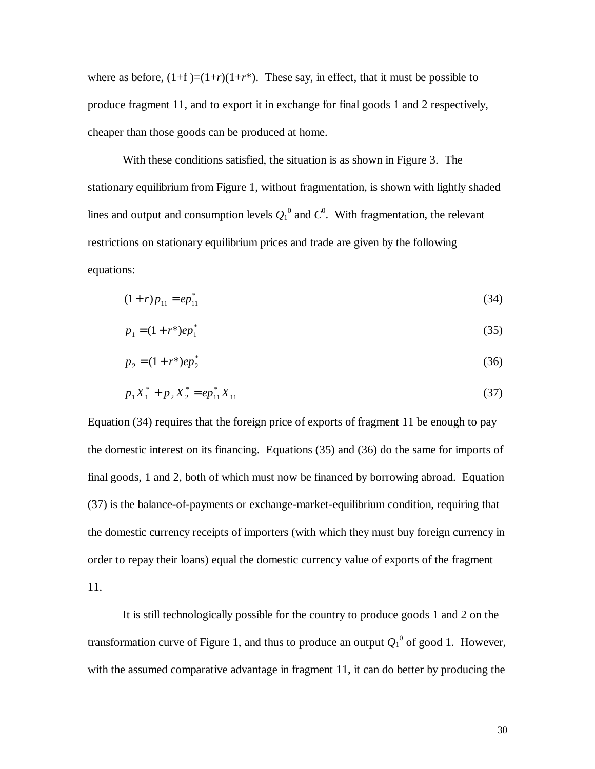where as before,  $(1+f)=(1+r)(1+r^*)$ . These say, in effect, that it must be possible to produce fragment 11, and to export it in exchange for final goods 1 and 2 respectively, cheaper than those goods can be produced at home.

With these conditions satisfied, the situation is as shown in Figure 3. The stationary equilibrium from Figure 1, without fragmentation, is shown with lightly shaded lines and output and consumption levels  $Q_1^0$  and  $C^0$ . With fragmentation, the relevant restrictions on stationary equilibrium prices and trade are given by the following equations:

$$
(1+r)p_{11} = ep_{11}^*
$$
\n(34)

$$
p_1 = (1 + r^*)e p_1^* \tag{35}
$$

$$
p_2 = (1 + r^*)\varrho p_2^* \tag{36}
$$

$$
p_1 X_1^* + p_2 X_2^* = e p_{11}^* X_{11}
$$
\n<sup>(37)</sup>

Equation (34) requires that the foreign price of exports of fragment 11 be enough to pay the domestic interest on its financing. Equations (35) and (36) do the same for imports of final goods, 1 and 2, both of which must now be financed by borrowing abroad. Equation (37) is the balance-of-payments or exchange-market-equilibrium condition, requiring that the domestic currency receipts of importers (with which they must buy foreign currency in order to repay their loans) equal the domestic currency value of exports of the fragment 11.

It is still technologically possible for the country to produce goods 1 and 2 on the transformation curve of Figure 1, and thus to produce an output  $Q_1^0$  of good 1. However, with the assumed comparative advantage in fragment 11, it can do better by producing the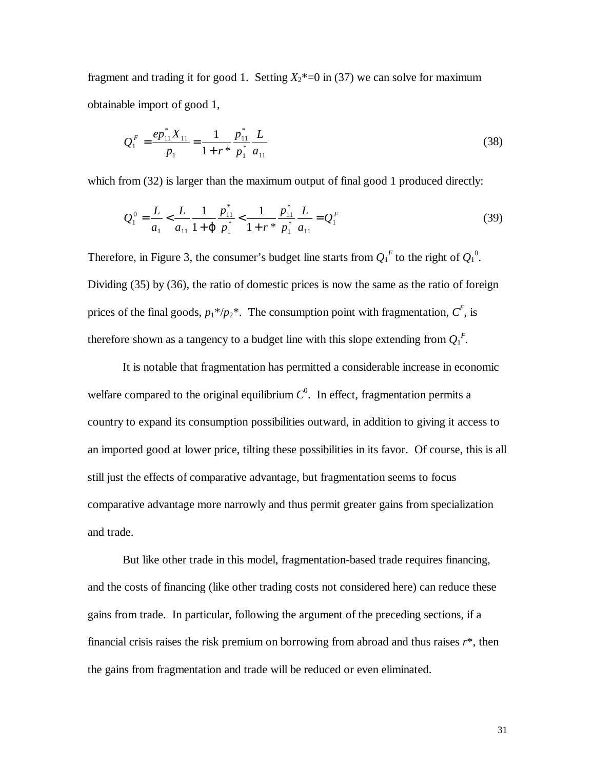fragment and trading it for good 1. Setting  $X_2^*=0$  in (37) we can solve for maximum obtainable import of good 1,

$$
Q_1^F = \frac{e p_{11}^* X_{11}}{p_1} = \frac{1}{1 + r^*} \frac{p_{11}^*}{p_1^*} \frac{L}{a_{11}}
$$
(38)

which from (32) is larger than the maximum output of final good 1 produced directly:

$$
Q_1^0 = \frac{L}{a_1} < \frac{L}{a_{11}} \frac{1}{1 + \varphi} \frac{p_{11}^*}{p_1^*} < \frac{1}{1 + r^*} \frac{p_{11}^*}{p_1^*} \frac{L}{a_{11}} = Q_1^F \tag{39}
$$

Therefore, in Figure 3, the consumer's budget line starts from  $Q_1^F$  to the right of  $Q_1^0$ . Dividing (35) by (36), the ratio of domestic prices is now the same as the ratio of foreign prices of the final goods,  $p_1^*/p_2^*$ . The consumption point with fragmentation,  $C^F$ , is therefore shown as a tangency to a budget line with this slope extending from  $Q_1^F$ .

It is notable that fragmentation has permitted a considerable increase in economic welfare compared to the original equilibrium  $C^0$ . In effect, fragmentation permits a country to expand its consumption possibilities outward, in addition to giving it access to an imported good at lower price, tilting these possibilities in its favor. Of course, this is all still just the effects of comparative advantage, but fragmentation seems to focus comparative advantage more narrowly and thus permit greater gains from specialization and trade.

But like other trade in this model, fragmentation-based trade requires financing, and the costs of financing (like other trading costs not considered here) can reduce these gains from trade. In particular, following the argument of the preceding sections, if a financial crisis raises the risk premium on borrowing from abroad and thus raises *r*\*, then the gains from fragmentation and trade will be reduced or even eliminated.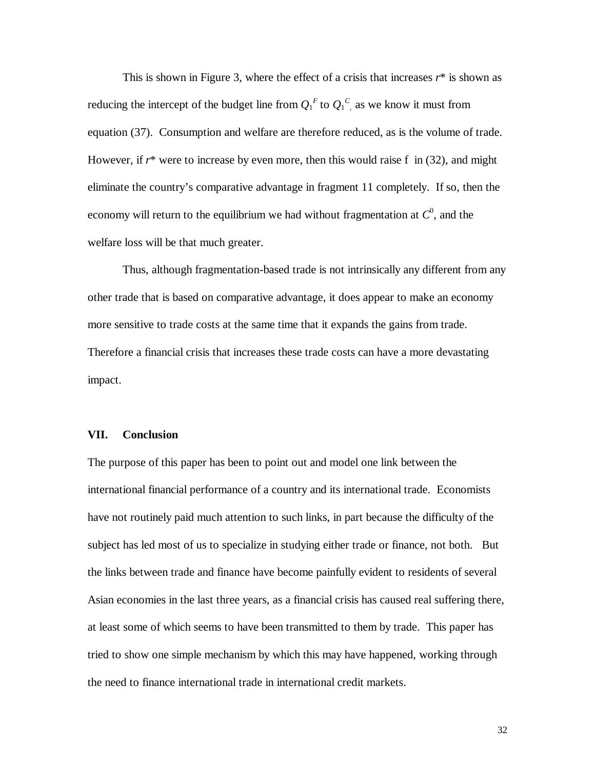This is shown in Figure 3, where the effect of a crisis that increases  $r^*$  is shown as reducing the intercept of the budget line from  $Q_1^F$  to  $Q_1^C$ , as we know it must from equation (37). Consumption and welfare are therefore reduced, as is the volume of trade. However, if  $r^*$  were to increase by even more, then this would raise f in  $(32)$ , and might eliminate the country's comparative advantage in fragment 11 completely. If so, then the economy will return to the equilibrium we had without fragmentation at  $C^0$ , and the welfare loss will be that much greater.

Thus, although fragmentation-based trade is not intrinsically any different from any other trade that is based on comparative advantage, it does appear to make an economy more sensitive to trade costs at the same time that it expands the gains from trade. Therefore a financial crisis that increases these trade costs can have a more devastating impact.

## **VII. Conclusion**

The purpose of this paper has been to point out and model one link between the international financial performance of a country and its international trade. Economists have not routinely paid much attention to such links, in part because the difficulty of the subject has led most of us to specialize in studying either trade or finance, not both. But the links between trade and finance have become painfully evident to residents of several Asian economies in the last three years, as a financial crisis has caused real suffering there, at least some of which seems to have been transmitted to them by trade. This paper has tried to show one simple mechanism by which this may have happened, working through the need to finance international trade in international credit markets.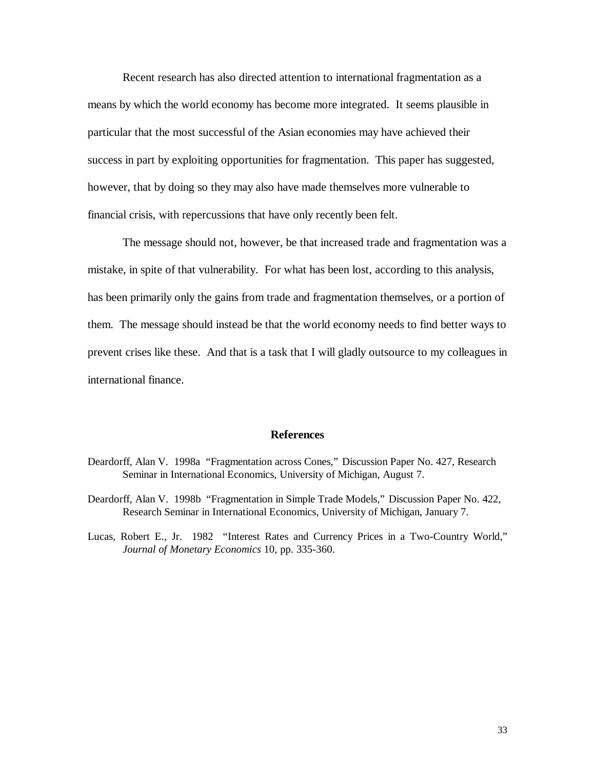Recent research has also directed attention to international fragmentation as a means by which the world economy has become more integrated. It seems plausible in particular that the most successful of the Asian economies may have achieved their success in part by exploiting opportunities for fragmentation. This paper has suggested, however, that by doing so they may also have made themselves more vulnerable to financial crisis, with repercussions that have only recently been felt.

The message should not, however, be that increased trade and fragmentation was a mistake, in spite of that vulnerability. For what has been lost, according to this analysis, has been primarily only the gains from trade and fragmentation themselves, or a portion of them. The message should instead be that the world economy needs to find better ways to prevent crises like these. And that is a task that I will gladly outsource to my colleagues in international finance.

#### **References**

- Deardorff, Alan V. 1998a "Fragmentation across Cones," Discussion Paper No. 427, Research Seminar in International Economics, University of Michigan, August 7.
- Deardorff, Alan V. 1998b "Fragmentation in Simple Trade Models," Discussion Paper No. 422, Research Seminar in International Economics, University of Michigan, January 7.

Lucas, Robert E., Jr. 1982 "Interest Rates and Currency Prices in a Two-Country World," *Journal of Monetary Economics* 10, pp. 335-360.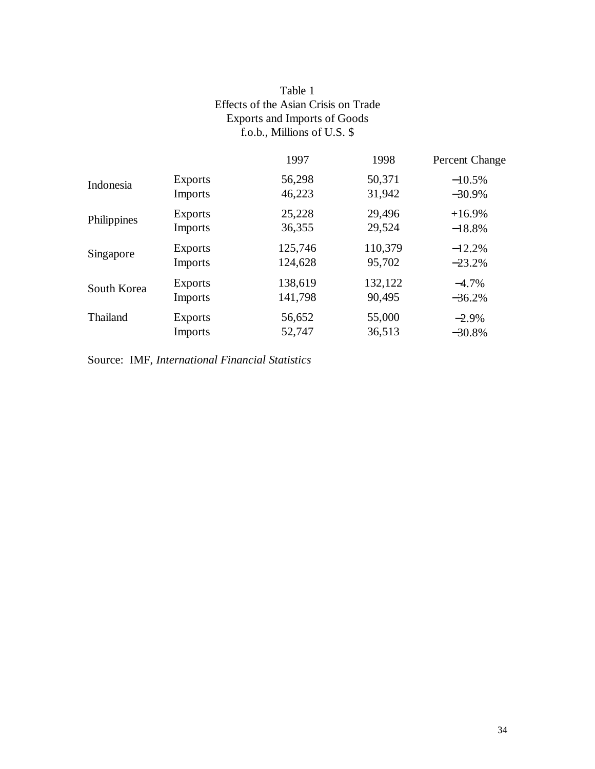## Table 1 Effects of the Asian Crisis on Trade Exports and Imports of Goods f.o.b., Millions of U.S. \$

|             |                | 1997    | 1998    | Percent Change |
|-------------|----------------|---------|---------|----------------|
| Indonesia   | <b>Exports</b> | 56,298  | 50,371  | $-10.5%$       |
|             | Imports        | 46,223  | 31,942  | $-30.9%$       |
| Philippines | <b>Exports</b> | 25,228  | 29,496  | $+16.9\%$      |
|             | <b>Imports</b> | 36,355  | 29,524  | $-18.8%$       |
| Singapore   | <b>Exports</b> | 125,746 | 110,379 | $-12.2%$       |
|             | Imports        | 124,628 | 95,702  | $-23.2%$       |
| South Korea | <b>Exports</b> | 138,619 | 132,122 | $-4.7\%$       |
|             | Imports        | 141,798 | 90,495  | $-36.2%$       |
| Thailand    | <b>Exports</b> | 56,652  | 55,000  | $-2.9\%$       |
|             | <b>Imports</b> | 52,747  | 36,513  | $-30.8%$       |

Source: IMF, *International Financial Statistics*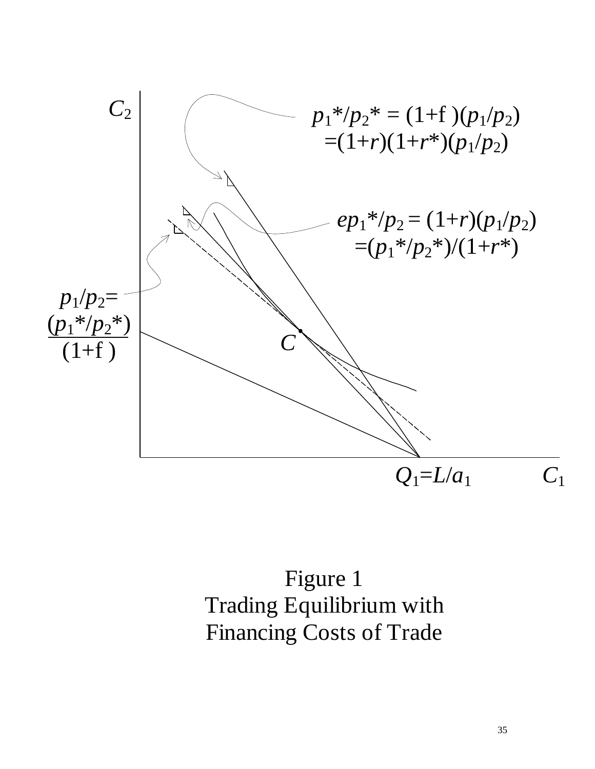

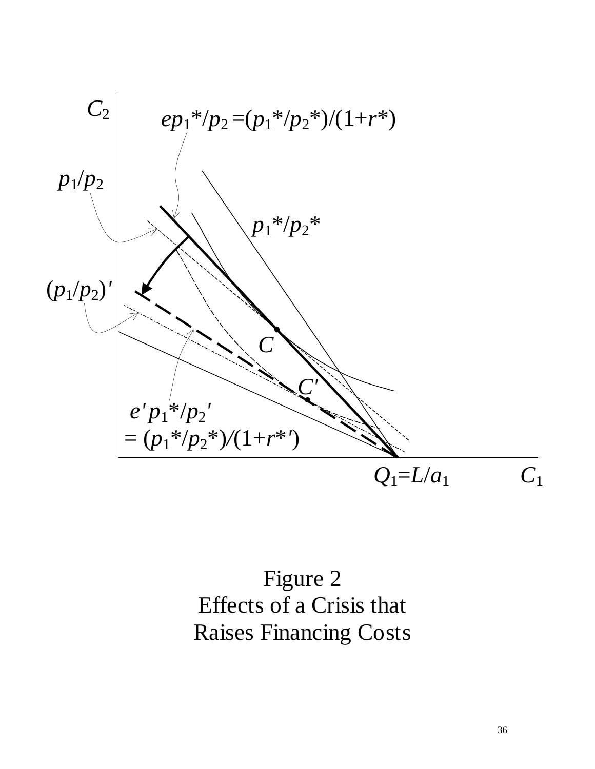